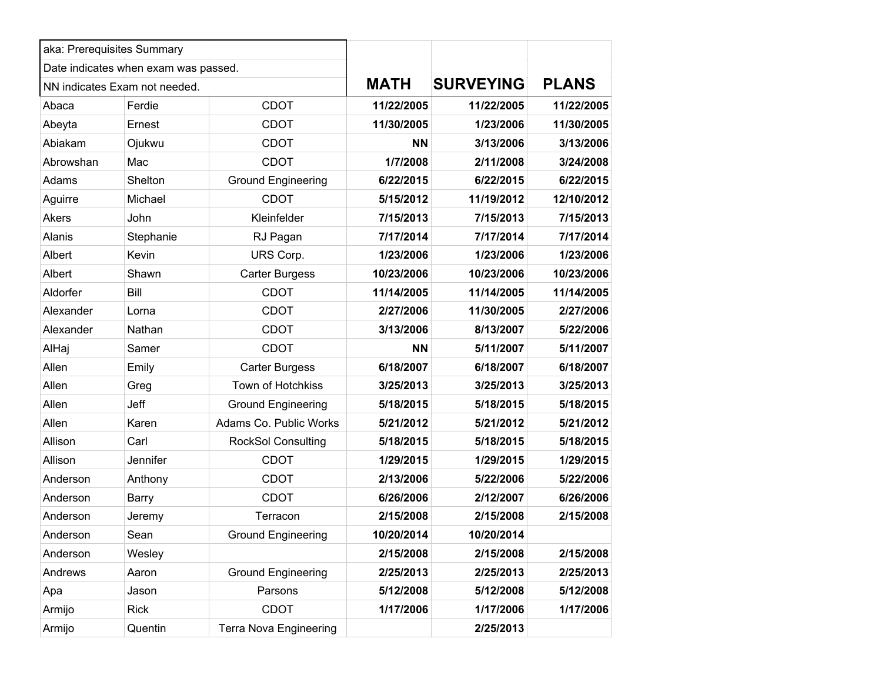| aka: Prerequisites Summary           |                               |                               |             |                  |              |
|--------------------------------------|-------------------------------|-------------------------------|-------------|------------------|--------------|
| Date indicates when exam was passed. |                               |                               |             |                  |              |
|                                      | NN indicates Exam not needed. |                               | <b>MATH</b> | <b>SURVEYING</b> | <b>PLANS</b> |
| Abaca                                | Ferdie                        | <b>CDOT</b>                   | 11/22/2005  | 11/22/2005       | 11/22/2005   |
| Abeyta                               | Ernest                        | <b>CDOT</b>                   | 11/30/2005  | 1/23/2006        | 11/30/2005   |
| Abiakam                              | Ojukwu                        | <b>CDOT</b>                   | <b>NN</b>   | 3/13/2006        | 3/13/2006    |
| Abrowshan                            | Mac                           | <b>CDOT</b>                   | 1/7/2008    | 2/11/2008        | 3/24/2008    |
| Adams                                | Shelton                       | <b>Ground Engineering</b>     | 6/22/2015   | 6/22/2015        | 6/22/2015    |
| Aguirre                              | Michael                       | <b>CDOT</b>                   | 5/15/2012   | 11/19/2012       | 12/10/2012   |
| Akers                                | John                          | Kleinfelder                   | 7/15/2013   | 7/15/2013        | 7/15/2013    |
| Alanis                               | Stephanie                     | RJ Pagan                      | 7/17/2014   | 7/17/2014        | 7/17/2014    |
| Albert                               | Kevin                         | URS Corp.                     | 1/23/2006   | 1/23/2006        | 1/23/2006    |
| Albert                               | Shawn                         | <b>Carter Burgess</b>         | 10/23/2006  | 10/23/2006       | 10/23/2006   |
| Aldorfer                             | Bill                          | <b>CDOT</b>                   | 11/14/2005  | 11/14/2005       | 11/14/2005   |
| Alexander                            | Lorna                         | <b>CDOT</b>                   | 2/27/2006   | 11/30/2005       | 2/27/2006    |
| Alexander                            | Nathan                        | <b>CDOT</b>                   | 3/13/2006   | 8/13/2007        | 5/22/2006    |
| AlHaj                                | Samer                         | <b>CDOT</b>                   | <b>NN</b>   | 5/11/2007        | 5/11/2007    |
| Allen                                | Emily                         | <b>Carter Burgess</b>         | 6/18/2007   | 6/18/2007        | 6/18/2007    |
| Allen                                | Greg                          | Town of Hotchkiss             | 3/25/2013   | 3/25/2013        | 3/25/2013    |
| Allen                                | Jeff                          | <b>Ground Engineering</b>     | 5/18/2015   | 5/18/2015        | 5/18/2015    |
| Allen                                | Karen                         | Adams Co. Public Works        | 5/21/2012   | 5/21/2012        | 5/21/2012    |
| Allison                              | Carl                          | <b>RockSol Consulting</b>     | 5/18/2015   | 5/18/2015        | 5/18/2015    |
| Allison                              | Jennifer                      | <b>CDOT</b>                   | 1/29/2015   | 1/29/2015        | 1/29/2015    |
| Anderson                             | Anthony                       | <b>CDOT</b>                   | 2/13/2006   | 5/22/2006        | 5/22/2006    |
| Anderson                             | <b>Barry</b>                  | <b>CDOT</b>                   | 6/26/2006   | 2/12/2007        | 6/26/2006    |
| Anderson                             | Jeremy                        | Terracon                      | 2/15/2008   | 2/15/2008        | 2/15/2008    |
| Anderson                             | Sean                          | <b>Ground Engineering</b>     | 10/20/2014  | 10/20/2014       |              |
| Anderson                             | Wesley                        |                               | 2/15/2008   | 2/15/2008        | 2/15/2008    |
| Andrews                              | Aaron                         | <b>Ground Engineering</b>     | 2/25/2013   | 2/25/2013        | 2/25/2013    |
| Apa                                  | Jason                         | Parsons                       | 5/12/2008   | 5/12/2008        | 5/12/2008    |
| Armijo                               | <b>Rick</b>                   | <b>CDOT</b>                   | 1/17/2006   | 1/17/2006        | 1/17/2006    |
| Armijo                               | Quentin                       | <b>Terra Nova Engineering</b> |             | 2/25/2013        |              |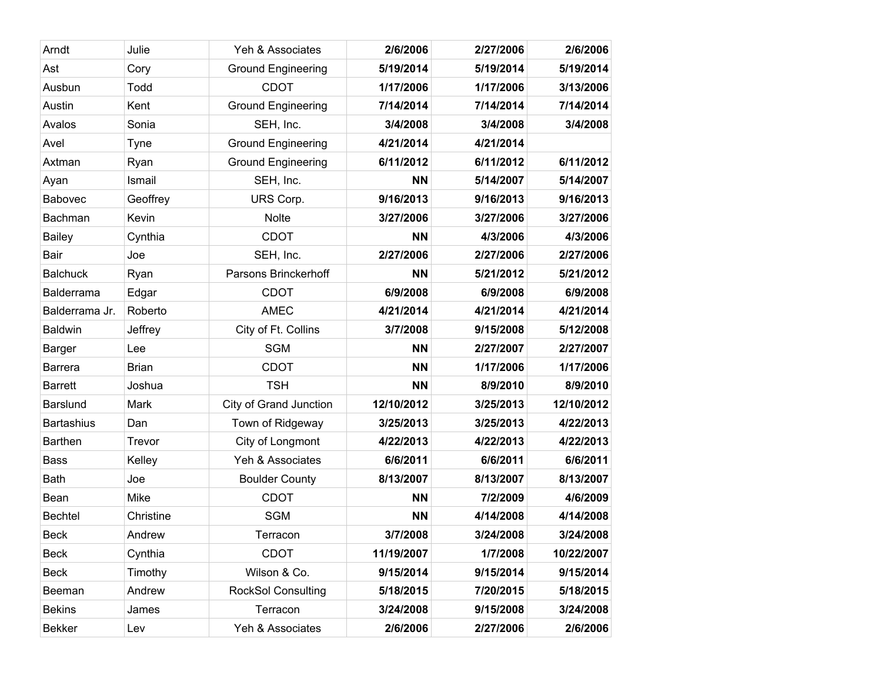| Arndt             | Julie        | Yeh & Associates          | 2/6/2006   | 2/27/2006 | 2/6/2006   |
|-------------------|--------------|---------------------------|------------|-----------|------------|
| Ast               | Cory         | <b>Ground Engineering</b> | 5/19/2014  | 5/19/2014 | 5/19/2014  |
| Ausbun            | Todd         | <b>CDOT</b>               | 1/17/2006  | 1/17/2006 | 3/13/2006  |
| Austin            | Kent         | <b>Ground Engineering</b> | 7/14/2014  | 7/14/2014 | 7/14/2014  |
| Avalos            | Sonia        | SEH, Inc.                 | 3/4/2008   | 3/4/2008  | 3/4/2008   |
| Avel              | Tyne         | <b>Ground Engineering</b> | 4/21/2014  | 4/21/2014 |            |
| Axtman            | Ryan         | <b>Ground Engineering</b> | 6/11/2012  | 6/11/2012 | 6/11/2012  |
| Ayan              | Ismail       | SEH, Inc.                 | <b>NN</b>  | 5/14/2007 | 5/14/2007  |
| Babovec           | Geoffrey     | URS Corp.                 | 9/16/2013  | 9/16/2013 | 9/16/2013  |
| Bachman           | Kevin        | Nolte                     | 3/27/2006  | 3/27/2006 | 3/27/2006  |
| <b>Bailey</b>     | Cynthia      | <b>CDOT</b>               | <b>NN</b>  | 4/3/2006  | 4/3/2006   |
| Bair              | Joe          | SEH, Inc.                 | 2/27/2006  | 2/27/2006 | 2/27/2006  |
| <b>Balchuck</b>   | Ryan         | Parsons Brinckerhoff      | <b>NN</b>  | 5/21/2012 | 5/21/2012  |
| Balderrama        | Edgar        | <b>CDOT</b>               | 6/9/2008   | 6/9/2008  | 6/9/2008   |
| Balderrama Jr.    | Roberto      | <b>AMEC</b>               | 4/21/2014  | 4/21/2014 | 4/21/2014  |
| <b>Baldwin</b>    | Jeffrey      | City of Ft. Collins       | 3/7/2008   | 9/15/2008 | 5/12/2008  |
| <b>Barger</b>     | Lee          | <b>SGM</b>                | <b>NN</b>  | 2/27/2007 | 2/27/2007  |
| <b>Barrera</b>    | <b>Brian</b> | <b>CDOT</b>               | <b>NN</b>  | 1/17/2006 | 1/17/2006  |
| <b>Barrett</b>    | Joshua       | <b>TSH</b>                | <b>NN</b>  | 8/9/2010  | 8/9/2010   |
| <b>Barslund</b>   | Mark         | City of Grand Junction    | 12/10/2012 | 3/25/2013 | 12/10/2012 |
| <b>Bartashius</b> | Dan          | Town of Ridgeway          | 3/25/2013  | 3/25/2013 | 4/22/2013  |
| <b>Barthen</b>    | Trevor       | City of Longmont          | 4/22/2013  | 4/22/2013 | 4/22/2013  |
| <b>Bass</b>       | Kelley       | Yeh & Associates          | 6/6/2011   | 6/6/2011  | 6/6/2011   |
| <b>Bath</b>       | Joe          | <b>Boulder County</b>     | 8/13/2007  | 8/13/2007 | 8/13/2007  |
| Bean              | <b>Mike</b>  | <b>CDOT</b>               | <b>NN</b>  | 7/2/2009  | 4/6/2009   |
| <b>Bechtel</b>    | Christine    | <b>SGM</b>                | <b>NN</b>  | 4/14/2008 | 4/14/2008  |
| <b>Beck</b>       | Andrew       | Terracon                  | 3/7/2008   | 3/24/2008 | 3/24/2008  |
| Beck              | Cynthia      | <b>CDOT</b>               | 11/19/2007 | 1/7/2008  | 10/22/2007 |
| Beck              | Timothy      | Wilson & Co.              | 9/15/2014  | 9/15/2014 | 9/15/2014  |
| Beeman            | Andrew       | <b>RockSol Consulting</b> | 5/18/2015  | 7/20/2015 | 5/18/2015  |
| <b>Bekins</b>     | James        | Terracon                  | 3/24/2008  | 9/15/2008 | 3/24/2008  |
| <b>Bekker</b>     | Lev          | Yeh & Associates          | 2/6/2006   | 2/27/2006 | 2/6/2006   |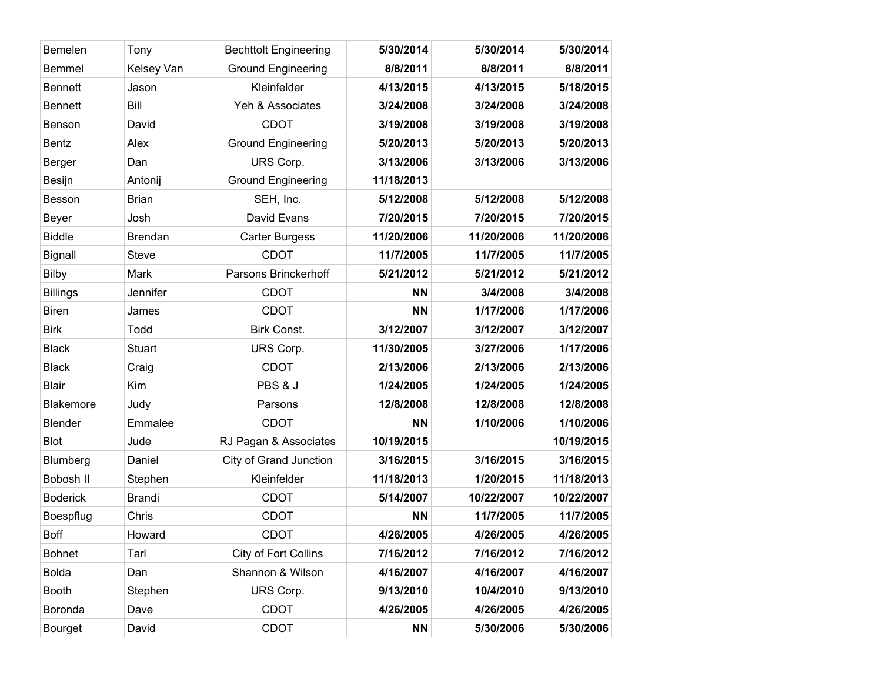| Bemelen          | Tony           | <b>Bechttolt Engineering</b> | 5/30/2014  | 5/30/2014  | 5/30/2014  |
|------------------|----------------|------------------------------|------------|------------|------------|
| <b>Bemmel</b>    | Kelsey Van     | <b>Ground Engineering</b>    | 8/8/2011   | 8/8/2011   | 8/8/2011   |
| <b>Bennett</b>   | Jason          | Kleinfelder                  | 4/13/2015  | 4/13/2015  | 5/18/2015  |
| <b>Bennett</b>   | Bill           | Yeh & Associates             | 3/24/2008  | 3/24/2008  | 3/24/2008  |
| Benson           | David          | <b>CDOT</b>                  | 3/19/2008  | 3/19/2008  | 3/19/2008  |
| <b>Bentz</b>     | Alex           | <b>Ground Engineering</b>    | 5/20/2013  | 5/20/2013  | 5/20/2013  |
| <b>Berger</b>    | Dan            | URS Corp.                    | 3/13/2006  | 3/13/2006  | 3/13/2006  |
| <b>Besijn</b>    | Antonij        | <b>Ground Engineering</b>    | 11/18/2013 |            |            |
| Besson           | <b>Brian</b>   | SEH, Inc.                    | 5/12/2008  | 5/12/2008  | 5/12/2008  |
| Beyer            | Josh           | David Evans                  | 7/20/2015  | 7/20/2015  | 7/20/2015  |
| <b>Biddle</b>    | <b>Brendan</b> | <b>Carter Burgess</b>        | 11/20/2006 | 11/20/2006 | 11/20/2006 |
| <b>Bignall</b>   | <b>Steve</b>   | <b>CDOT</b>                  | 11/7/2005  | 11/7/2005  | 11/7/2005  |
| <b>Bilby</b>     | Mark           | Parsons Brinckerhoff         | 5/21/2012  | 5/21/2012  | 5/21/2012  |
| <b>Billings</b>  | Jennifer       | <b>CDOT</b>                  | <b>NN</b>  | 3/4/2008   | 3/4/2008   |
| <b>Biren</b>     | James          | <b>CDOT</b>                  | <b>NN</b>  | 1/17/2006  | 1/17/2006  |
| <b>Birk</b>      | Todd           | <b>Birk Const.</b>           | 3/12/2007  | 3/12/2007  | 3/12/2007  |
| <b>Black</b>     | <b>Stuart</b>  | URS Corp.                    | 11/30/2005 | 3/27/2006  | 1/17/2006  |
| <b>Black</b>     | Craig          | <b>CDOT</b>                  | 2/13/2006  | 2/13/2006  | 2/13/2006  |
| <b>Blair</b>     | Kim            | PBS & J                      | 1/24/2005  | 1/24/2005  | 1/24/2005  |
| <b>Blakemore</b> | Judy           | Parsons                      | 12/8/2008  | 12/8/2008  | 12/8/2008  |
| Blender          | Emmalee        | <b>CDOT</b>                  | <b>NN</b>  | 1/10/2006  | 1/10/2006  |
| <b>Blot</b>      | Jude           | RJ Pagan & Associates        | 10/19/2015 |            | 10/19/2015 |
| Blumberg         | Daniel         | City of Grand Junction       | 3/16/2015  | 3/16/2015  | 3/16/2015  |
| Bobosh II        | Stephen        | Kleinfelder                  | 11/18/2013 | 1/20/2015  | 11/18/2013 |
| <b>Boderick</b>  | <b>Brandi</b>  | <b>CDOT</b>                  | 5/14/2007  | 10/22/2007 | 10/22/2007 |
| Boespflug        | Chris          | <b>CDOT</b>                  | <b>NN</b>  | 11/7/2005  | 11/7/2005  |
| <b>Boff</b>      | Howard         | <b>CDOT</b>                  | 4/26/2005  | 4/26/2005  | 4/26/2005  |
| <b>Bohnet</b>    | Tarl           | City of Fort Collins         | 7/16/2012  | 7/16/2012  | 7/16/2012  |
| <b>Bolda</b>     | Dan            | Shannon & Wilson             | 4/16/2007  | 4/16/2007  | 4/16/2007  |
| <b>Booth</b>     | Stephen        | URS Corp.                    | 9/13/2010  | 10/4/2010  | 9/13/2010  |
| Boronda          | Dave           | <b>CDOT</b>                  | 4/26/2005  | 4/26/2005  | 4/26/2005  |
| Bourget          | David          | <b>CDOT</b>                  | <b>NN</b>  | 5/30/2006  | 5/30/2006  |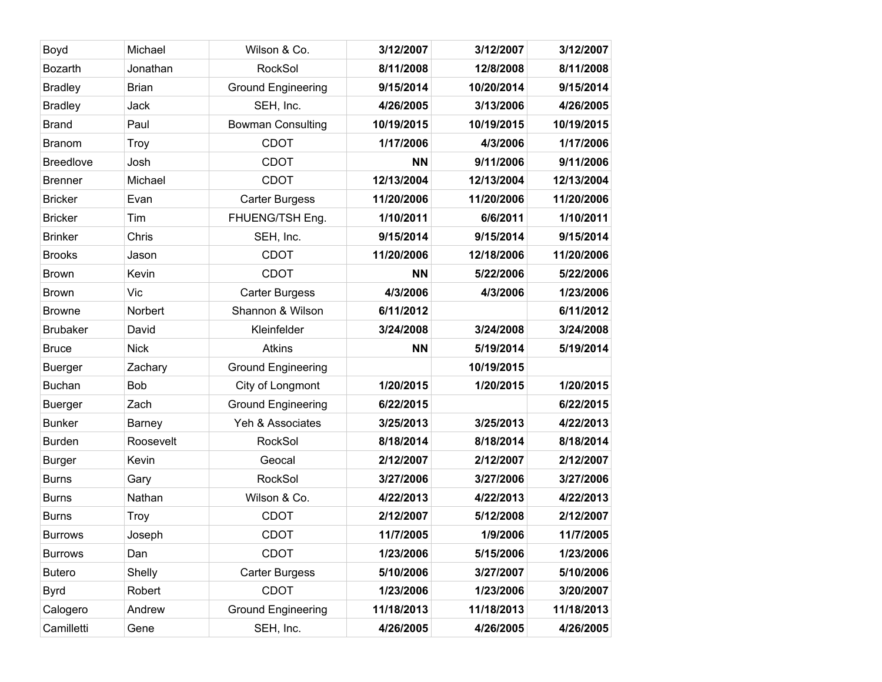| Boyd             | Michael       | Wilson & Co.              | 3/12/2007  | 3/12/2007  | 3/12/2007  |
|------------------|---------------|---------------------------|------------|------------|------------|
| <b>Bozarth</b>   | Jonathan      | RockSol                   | 8/11/2008  | 12/8/2008  | 8/11/2008  |
| <b>Bradley</b>   | <b>Brian</b>  | <b>Ground Engineering</b> | 9/15/2014  | 10/20/2014 | 9/15/2014  |
| <b>Bradley</b>   | Jack          | SEH, Inc.                 | 4/26/2005  | 3/13/2006  | 4/26/2005  |
| <b>Brand</b>     | Paul          | <b>Bowman Consulting</b>  | 10/19/2015 | 10/19/2015 | 10/19/2015 |
| <b>Branom</b>    | Troy          | <b>CDOT</b>               | 1/17/2006  | 4/3/2006   | 1/17/2006  |
| <b>Breedlove</b> | Josh          | <b>CDOT</b>               | <b>NN</b>  | 9/11/2006  | 9/11/2006  |
| <b>Brenner</b>   | Michael       | <b>CDOT</b>               | 12/13/2004 | 12/13/2004 | 12/13/2004 |
| <b>Bricker</b>   | Evan          | <b>Carter Burgess</b>     | 11/20/2006 | 11/20/2006 | 11/20/2006 |
| <b>Bricker</b>   | Tim           | FHUENG/TSH Eng.           | 1/10/2011  | 6/6/2011   | 1/10/2011  |
| <b>Brinker</b>   | Chris         | SEH, Inc.                 | 9/15/2014  | 9/15/2014  | 9/15/2014  |
| <b>Brooks</b>    | Jason         | <b>CDOT</b>               | 11/20/2006 | 12/18/2006 | 11/20/2006 |
| <b>Brown</b>     | Kevin         | <b>CDOT</b>               | <b>NN</b>  | 5/22/2006  | 5/22/2006  |
| <b>Brown</b>     | Vic           | <b>Carter Burgess</b>     | 4/3/2006   | 4/3/2006   | 1/23/2006  |
| <b>Browne</b>    | Norbert       | Shannon & Wilson          | 6/11/2012  |            | 6/11/2012  |
| <b>Brubaker</b>  | David         | Kleinfelder               | 3/24/2008  | 3/24/2008  | 3/24/2008  |
| <b>Bruce</b>     | <b>Nick</b>   | <b>Atkins</b>             | <b>NN</b>  | 5/19/2014  | 5/19/2014  |
| <b>Buerger</b>   | Zachary       | <b>Ground Engineering</b> |            | 10/19/2015 |            |
| <b>Buchan</b>    | <b>Bob</b>    | City of Longmont          | 1/20/2015  | 1/20/2015  | 1/20/2015  |
| <b>Buerger</b>   | Zach          | <b>Ground Engineering</b> | 6/22/2015  |            | 6/22/2015  |
| <b>Bunker</b>    | <b>Barney</b> | Yeh & Associates          | 3/25/2013  | 3/25/2013  | 4/22/2013  |
| <b>Burden</b>    | Roosevelt     | RockSol                   | 8/18/2014  | 8/18/2014  | 8/18/2014  |
| <b>Burger</b>    | Kevin         | Geocal                    | 2/12/2007  | 2/12/2007  | 2/12/2007  |
| <b>Burns</b>     | Gary          | RockSol                   | 3/27/2006  | 3/27/2006  | 3/27/2006  |
| <b>Burns</b>     | Nathan        | Wilson & Co.              | 4/22/2013  | 4/22/2013  | 4/22/2013  |
| <b>Burns</b>     | Troy          | <b>CDOT</b>               | 2/12/2007  | 5/12/2008  | 2/12/2007  |
| <b>Burrows</b>   | Joseph        | <b>CDOT</b>               | 11/7/2005  | 1/9/2006   | 11/7/2005  |
| <b>Burrows</b>   | Dan           | <b>CDOT</b>               | 1/23/2006  | 5/15/2006  | 1/23/2006  |
| <b>Butero</b>    | Shelly        | <b>Carter Burgess</b>     | 5/10/2006  | 3/27/2007  | 5/10/2006  |
| <b>Byrd</b>      | Robert        | <b>CDOT</b>               | 1/23/2006  | 1/23/2006  | 3/20/2007  |
| Calogero         | Andrew        | <b>Ground Engineering</b> | 11/18/2013 | 11/18/2013 | 11/18/2013 |
| Camilletti       | Gene          | SEH, Inc.                 | 4/26/2005  | 4/26/2005  | 4/26/2005  |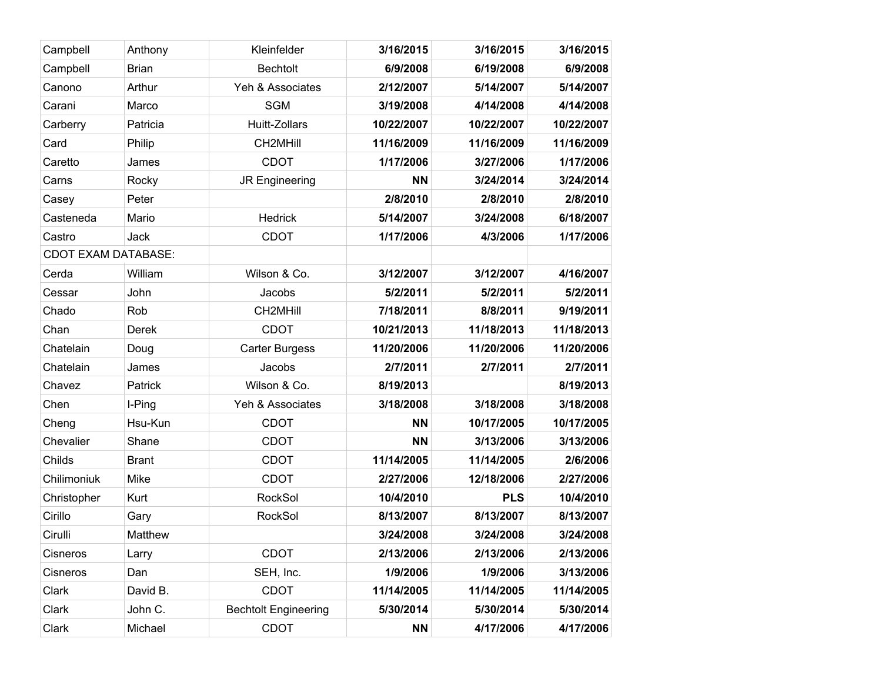| Campbell                   | Anthony      | Kleinfelder                 | 3/16/2015  | 3/16/2015  | 3/16/2015  |
|----------------------------|--------------|-----------------------------|------------|------------|------------|
| Campbell                   | <b>Brian</b> | <b>Bechtolt</b>             | 6/9/2008   | 6/19/2008  | 6/9/2008   |
| Canono                     | Arthur       | Yeh & Associates            | 2/12/2007  | 5/14/2007  | 5/14/2007  |
| Carani                     | Marco        | <b>SGM</b>                  | 3/19/2008  | 4/14/2008  | 4/14/2008  |
| Carberry                   | Patricia     | Huitt-Zollars               | 10/22/2007 | 10/22/2007 | 10/22/2007 |
| Card                       | Philip       | CH2MHill                    | 11/16/2009 | 11/16/2009 | 11/16/2009 |
| Caretto                    | James        | <b>CDOT</b>                 | 1/17/2006  | 3/27/2006  | 1/17/2006  |
| Carns                      | Rocky        | JR Engineering              | <b>NN</b>  | 3/24/2014  | 3/24/2014  |
| Casey                      | Peter        |                             | 2/8/2010   | 2/8/2010   | 2/8/2010   |
| Casteneda                  | Mario        | Hedrick                     | 5/14/2007  | 3/24/2008  | 6/18/2007  |
| Castro                     | Jack         | <b>CDOT</b>                 | 1/17/2006  | 4/3/2006   | 1/17/2006  |
| <b>CDOT EXAM DATABASE:</b> |              |                             |            |            |            |
| Cerda                      | William      | Wilson & Co.                | 3/12/2007  | 3/12/2007  | 4/16/2007  |
| Cessar                     | John         | Jacobs                      | 5/2/2011   | 5/2/2011   | 5/2/2011   |
| Chado                      | Rob          | CH2MHill                    | 7/18/2011  | 8/8/2011   | 9/19/2011  |
| Chan                       | Derek        | <b>CDOT</b>                 | 10/21/2013 | 11/18/2013 | 11/18/2013 |
| Chatelain                  | Doug         | <b>Carter Burgess</b>       | 11/20/2006 | 11/20/2006 | 11/20/2006 |
| Chatelain                  | James        | Jacobs                      | 2/7/2011   | 2/7/2011   | 2/7/2011   |
| Chavez                     | Patrick      | Wilson & Co.                | 8/19/2013  |            | 8/19/2013  |
| Chen                       | I-Ping       | Yeh & Associates            | 3/18/2008  | 3/18/2008  | 3/18/2008  |
| Cheng                      | Hsu-Kun      | <b>CDOT</b>                 | <b>NN</b>  | 10/17/2005 | 10/17/2005 |
| Chevalier                  | Shane        | <b>CDOT</b>                 | <b>NN</b>  | 3/13/2006  | 3/13/2006  |
| Childs                     | <b>Brant</b> | <b>CDOT</b>                 | 11/14/2005 | 11/14/2005 | 2/6/2006   |
| Chilimoniuk                | Mike         | <b>CDOT</b>                 | 2/27/2006  | 12/18/2006 | 2/27/2006  |
| Christopher                | Kurt         | <b>RockSol</b>              | 10/4/2010  | <b>PLS</b> | 10/4/2010  |
| Cirillo                    | Gary         | <b>RockSol</b>              | 8/13/2007  | 8/13/2007  | 8/13/2007  |
| Cirulli                    | Matthew      |                             | 3/24/2008  | 3/24/2008  | 3/24/2008  |
| Cisneros                   | Larry        | <b>CDOT</b>                 | 2/13/2006  | 2/13/2006  | 2/13/2006  |
| Cisneros                   | Dan          | SEH, Inc.                   | 1/9/2006   | 1/9/2006   | 3/13/2006  |
| Clark                      | David B.     | <b>CDOT</b>                 | 11/14/2005 | 11/14/2005 | 11/14/2005 |
| Clark                      | John C.      | <b>Bechtolt Engineering</b> | 5/30/2014  | 5/30/2014  | 5/30/2014  |
| Clark                      | Michael      | <b>CDOT</b>                 | <b>NN</b>  | 4/17/2006  | 4/17/2006  |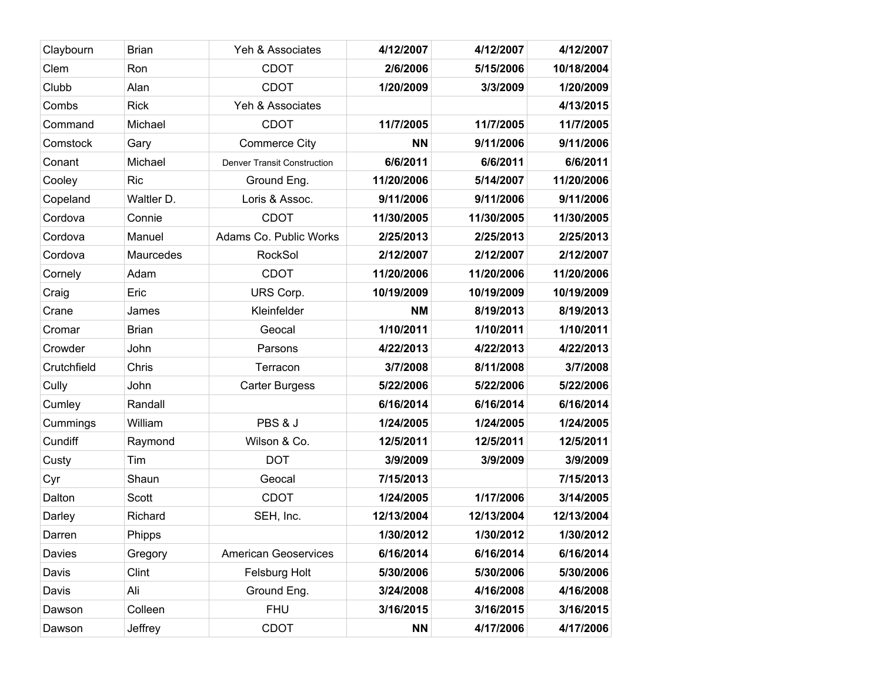| Claybourn   | <b>Brian</b> | Yeh & Associates                   | 4/12/2007  | 4/12/2007  | 4/12/2007  |
|-------------|--------------|------------------------------------|------------|------------|------------|
| Clem        | Ron          | <b>CDOT</b>                        | 2/6/2006   | 5/15/2006  | 10/18/2004 |
| Clubb       | Alan         | <b>CDOT</b>                        | 1/20/2009  | 3/3/2009   | 1/20/2009  |
| Combs       | <b>Rick</b>  | Yeh & Associates                   |            |            | 4/13/2015  |
| Command     | Michael      | <b>CDOT</b>                        | 11/7/2005  | 11/7/2005  | 11/7/2005  |
| Comstock    | Gary         | <b>Commerce City</b>               | <b>NN</b>  | 9/11/2006  | 9/11/2006  |
| Conant      | Michael      | <b>Denver Transit Construction</b> | 6/6/2011   | 6/6/2011   | 6/6/2011   |
| Cooley      | <b>Ric</b>   | Ground Eng.                        | 11/20/2006 | 5/14/2007  | 11/20/2006 |
| Copeland    | Waltler D.   | Loris & Assoc.                     | 9/11/2006  | 9/11/2006  | 9/11/2006  |
| Cordova     | Connie       | <b>CDOT</b>                        | 11/30/2005 | 11/30/2005 | 11/30/2005 |
| Cordova     | Manuel       | Adams Co. Public Works             | 2/25/2013  | 2/25/2013  | 2/25/2013  |
| Cordova     | Maurcedes    | <b>RockSol</b>                     | 2/12/2007  | 2/12/2007  | 2/12/2007  |
| Cornely     | Adam         | <b>CDOT</b>                        | 11/20/2006 | 11/20/2006 | 11/20/2006 |
| Craig       | Eric         | URS Corp.                          | 10/19/2009 | 10/19/2009 | 10/19/2009 |
| Crane       | James        | Kleinfelder                        | <b>NM</b>  | 8/19/2013  | 8/19/2013  |
| Cromar      | <b>Brian</b> | Geocal                             | 1/10/2011  | 1/10/2011  | 1/10/2011  |
| Crowder     | John         | Parsons                            | 4/22/2013  | 4/22/2013  | 4/22/2013  |
| Crutchfield | Chris        | Terracon                           | 3/7/2008   | 8/11/2008  | 3/7/2008   |
| Cully       | John         | <b>Carter Burgess</b>              | 5/22/2006  | 5/22/2006  | 5/22/2006  |
| Cumley      | Randall      |                                    | 6/16/2014  | 6/16/2014  | 6/16/2014  |
| Cummings    | William      | PBS & J                            | 1/24/2005  | 1/24/2005  | 1/24/2005  |
| Cundiff     | Raymond      | Wilson & Co.                       | 12/5/2011  | 12/5/2011  | 12/5/2011  |
| Custy       | Tim          | <b>DOT</b>                         | 3/9/2009   | 3/9/2009   | 3/9/2009   |
| Cyr         | Shaun        | Geocal                             | 7/15/2013  |            | 7/15/2013  |
| Dalton      | Scott        | <b>CDOT</b>                        | 1/24/2005  | 1/17/2006  | 3/14/2005  |
| Darley      | Richard      | SEH, Inc.                          | 12/13/2004 | 12/13/2004 | 12/13/2004 |
| Darren      | Phipps       |                                    | 1/30/2012  | 1/30/2012  | 1/30/2012  |
| Davies      | Gregory      | <b>American Geoservices</b>        | 6/16/2014  | 6/16/2014  | 6/16/2014  |
| Davis       | Clint        | Felsburg Holt                      | 5/30/2006  | 5/30/2006  | 5/30/2006  |
| Davis       | Ali          | Ground Eng.                        | 3/24/2008  | 4/16/2008  | 4/16/2008  |
| Dawson      | Colleen      | <b>FHU</b>                         | 3/16/2015  | 3/16/2015  | 3/16/2015  |
| Dawson      | Jeffrey      | <b>CDOT</b>                        | <b>NN</b>  | 4/17/2006  | 4/17/2006  |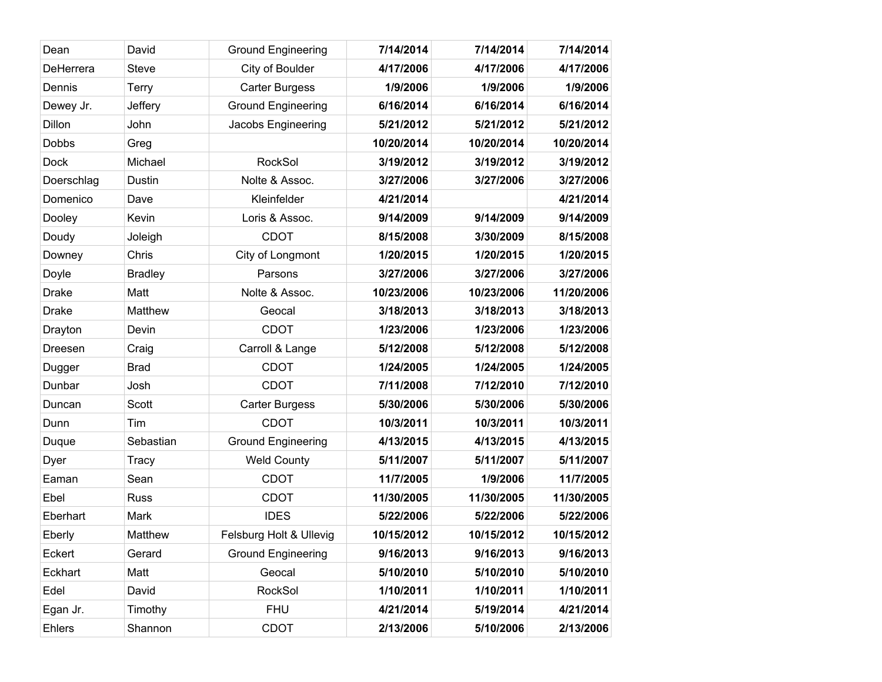| Dean          | David          | <b>Ground Engineering</b> | 7/14/2014  | 7/14/2014  | 7/14/2014  |
|---------------|----------------|---------------------------|------------|------------|------------|
| DeHerrera     | <b>Steve</b>   | City of Boulder           | 4/17/2006  | 4/17/2006  | 4/17/2006  |
| Dennis        | <b>Terry</b>   | <b>Carter Burgess</b>     | 1/9/2006   | 1/9/2006   | 1/9/2006   |
| Dewey Jr.     | Jeffery        | <b>Ground Engineering</b> | 6/16/2014  | 6/16/2014  | 6/16/2014  |
| Dillon        | John           | Jacobs Engineering        | 5/21/2012  | 5/21/2012  | 5/21/2012  |
| <b>Dobbs</b>  | Greg           |                           | 10/20/2014 | 10/20/2014 | 10/20/2014 |
| <b>Dock</b>   | Michael        | RockSol                   | 3/19/2012  | 3/19/2012  | 3/19/2012  |
| Doerschlag    | Dustin         | Nolte & Assoc.            | 3/27/2006  | 3/27/2006  | 3/27/2006  |
| Domenico      | Dave           | Kleinfelder               | 4/21/2014  |            | 4/21/2014  |
| Dooley        | Kevin          | Loris & Assoc.            | 9/14/2009  | 9/14/2009  | 9/14/2009  |
| Doudy         | Joleigh        | <b>CDOT</b>               | 8/15/2008  | 3/30/2009  | 8/15/2008  |
| Downey        | Chris          | City of Longmont          | 1/20/2015  | 1/20/2015  | 1/20/2015  |
| Doyle         | <b>Bradley</b> | Parsons                   | 3/27/2006  | 3/27/2006  | 3/27/2006  |
| <b>Drake</b>  | Matt           | Nolte & Assoc.            | 10/23/2006 | 10/23/2006 | 11/20/2006 |
| <b>Drake</b>  | Matthew        | Geocal                    | 3/18/2013  | 3/18/2013  | 3/18/2013  |
| Drayton       | Devin          | <b>CDOT</b>               | 1/23/2006  | 1/23/2006  | 1/23/2006  |
| Dreesen       | Craig          | Carroll & Lange           | 5/12/2008  | 5/12/2008  | 5/12/2008  |
| Dugger        | <b>Brad</b>    | <b>CDOT</b>               | 1/24/2005  | 1/24/2005  | 1/24/2005  |
| Dunbar        | Josh           | <b>CDOT</b>               | 7/11/2008  | 7/12/2010  | 7/12/2010  |
| Duncan        | Scott          | <b>Carter Burgess</b>     | 5/30/2006  | 5/30/2006  | 5/30/2006  |
| Dunn          | Tim            | <b>CDOT</b>               | 10/3/2011  | 10/3/2011  | 10/3/2011  |
| Duque         | Sebastian      | <b>Ground Engineering</b> | 4/13/2015  | 4/13/2015  | 4/13/2015  |
| Dyer          | Tracy          | <b>Weld County</b>        | 5/11/2007  | 5/11/2007  | 5/11/2007  |
| Eaman         | Sean           | <b>CDOT</b>               | 11/7/2005  | 1/9/2006   | 11/7/2005  |
| Ebel          | <b>Russ</b>    | <b>CDOT</b>               | 11/30/2005 | 11/30/2005 | 11/30/2005 |
| Eberhart      | Mark           | <b>IDES</b>               | 5/22/2006  | 5/22/2006  | 5/22/2006  |
| Eberly        | Matthew        | Felsburg Holt & Ullevig   | 10/15/2012 | 10/15/2012 | 10/15/2012 |
| Eckert        | Gerard         | <b>Ground Engineering</b> | 9/16/2013  | 9/16/2013  | 9/16/2013  |
| Eckhart       | Matt           | Geocal                    | 5/10/2010  | 5/10/2010  | 5/10/2010  |
| Edel          | David          | RockSol                   | 1/10/2011  | 1/10/2011  | 1/10/2011  |
| Egan Jr.      | Timothy        | <b>FHU</b>                | 4/21/2014  | 5/19/2014  | 4/21/2014  |
| <b>Ehlers</b> | Shannon        | <b>CDOT</b>               | 2/13/2006  | 5/10/2006  | 2/13/2006  |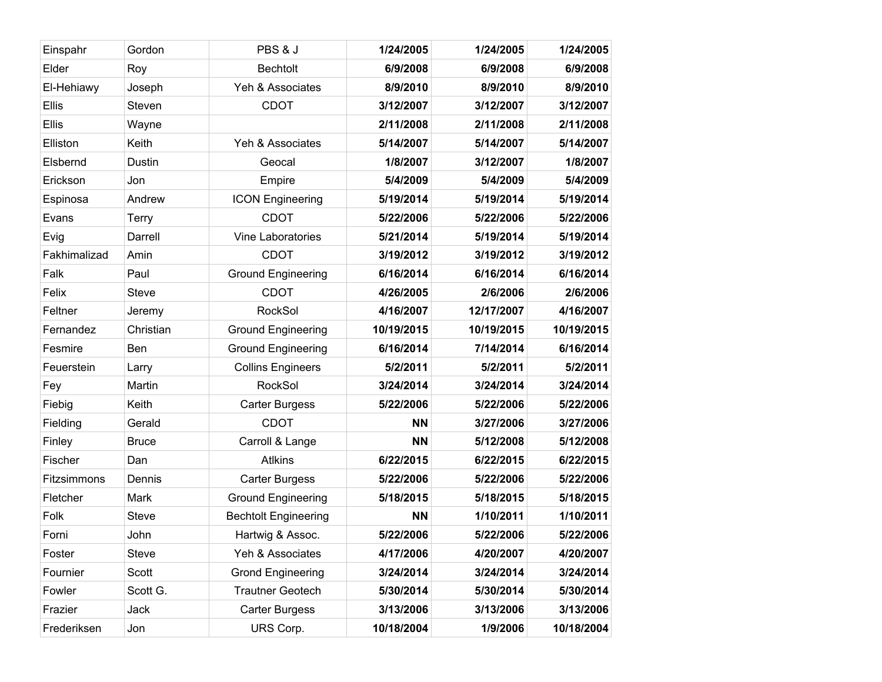| Einspahr     | Gordon       | PBS & J                     | 1/24/2005  | 1/24/2005  | 1/24/2005  |
|--------------|--------------|-----------------------------|------------|------------|------------|
| Elder        | Roy          | <b>Bechtolt</b>             | 6/9/2008   | 6/9/2008   | 6/9/2008   |
| El-Hehiawy   | Joseph       | Yeh & Associates            | 8/9/2010   | 8/9/2010   | 8/9/2010   |
| Ellis        | Steven       | <b>CDOT</b>                 | 3/12/2007  | 3/12/2007  | 3/12/2007  |
| <b>Ellis</b> | Wayne        |                             | 2/11/2008  | 2/11/2008  | 2/11/2008  |
| Elliston     | Keith        | Yeh & Associates            | 5/14/2007  | 5/14/2007  | 5/14/2007  |
| Elsbernd     | Dustin       | Geocal                      | 1/8/2007   | 3/12/2007  | 1/8/2007   |
| Erickson     | Jon          | Empire                      | 5/4/2009   | 5/4/2009   | 5/4/2009   |
| Espinosa     | Andrew       | <b>ICON Engineering</b>     | 5/19/2014  | 5/19/2014  | 5/19/2014  |
| Evans        | <b>Terry</b> | <b>CDOT</b>                 | 5/22/2006  | 5/22/2006  | 5/22/2006  |
| Evig         | Darrell      | Vine Laboratories           | 5/21/2014  | 5/19/2014  | 5/19/2014  |
| Fakhimalizad | Amin         | <b>CDOT</b>                 | 3/19/2012  | 3/19/2012  | 3/19/2012  |
| Falk         | Paul         | <b>Ground Engineering</b>   | 6/16/2014  | 6/16/2014  | 6/16/2014  |
| Felix        | <b>Steve</b> | <b>CDOT</b>                 | 4/26/2005  | 2/6/2006   | 2/6/2006   |
| Feltner      | Jeremy       | RockSol                     | 4/16/2007  | 12/17/2007 | 4/16/2007  |
| Fernandez    | Christian    | <b>Ground Engineering</b>   | 10/19/2015 | 10/19/2015 | 10/19/2015 |
| Fesmire      | Ben          | <b>Ground Engineering</b>   | 6/16/2014  | 7/14/2014  | 6/16/2014  |
| Feuerstein   | Larry        | <b>Collins Engineers</b>    | 5/2/2011   | 5/2/2011   | 5/2/2011   |
| Fey          | Martin       | <b>RockSol</b>              | 3/24/2014  | 3/24/2014  | 3/24/2014  |
| Fiebig       | Keith        | <b>Carter Burgess</b>       | 5/22/2006  | 5/22/2006  | 5/22/2006  |
| Fielding     | Gerald       | <b>CDOT</b>                 | <b>NN</b>  | 3/27/2006  | 3/27/2006  |
| Finley       | <b>Bruce</b> | Carroll & Lange             | <b>NN</b>  | 5/12/2008  | 5/12/2008  |
| Fischer      | Dan          | <b>Atlkins</b>              | 6/22/2015  | 6/22/2015  | 6/22/2015  |
| Fitzsimmons  | Dennis       | <b>Carter Burgess</b>       | 5/22/2006  | 5/22/2006  | 5/22/2006  |
| Fletcher     | Mark         | <b>Ground Engineering</b>   | 5/18/2015  | 5/18/2015  | 5/18/2015  |
| Folk         | <b>Steve</b> | <b>Bechtolt Engineering</b> | <b>NN</b>  | 1/10/2011  | 1/10/2011  |
| Forni        | John         | Hartwig & Assoc.            | 5/22/2006  | 5/22/2006  | 5/22/2006  |
| Foster       | <b>Steve</b> | Yeh & Associates            | 4/17/2006  | 4/20/2007  | 4/20/2007  |
| Fournier     | Scott        | <b>Grond Engineering</b>    | 3/24/2014  | 3/24/2014  | 3/24/2014  |
| Fowler       | Scott G.     | <b>Trautner Geotech</b>     | 5/30/2014  | 5/30/2014  | 5/30/2014  |
| Frazier      | Jack         | <b>Carter Burgess</b>       | 3/13/2006  | 3/13/2006  | 3/13/2006  |
| Frederiksen  | Jon          | URS Corp.                   | 10/18/2004 | 1/9/2006   | 10/18/2004 |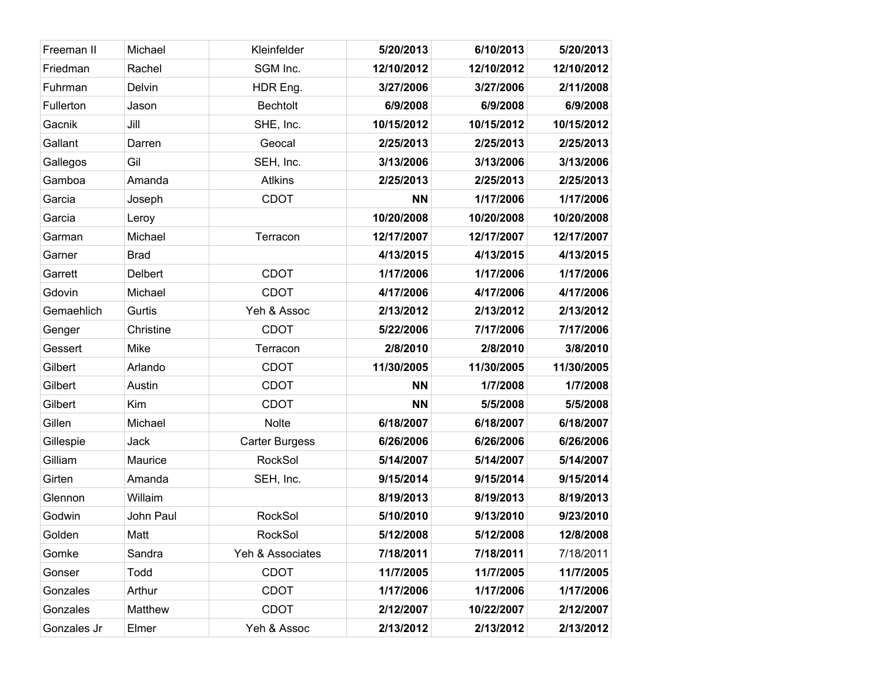| Freeman II  | Michael     | Kleinfelder           | 5/20/2013  | 6/10/2013  | 5/20/2013  |
|-------------|-------------|-----------------------|------------|------------|------------|
| Friedman    | Rachel      | SGM Inc.              | 12/10/2012 | 12/10/2012 | 12/10/2012 |
| Fuhrman     | Delvin      | HDR Eng.              | 3/27/2006  | 3/27/2006  | 2/11/2008  |
| Fullerton   | Jason       | <b>Bechtolt</b>       | 6/9/2008   | 6/9/2008   | 6/9/2008   |
| Gacnik      | Jill        | SHE, Inc.             | 10/15/2012 | 10/15/2012 | 10/15/2012 |
| Gallant     | Darren      | Geocal                | 2/25/2013  | 2/25/2013  | 2/25/2013  |
| Gallegos    | Gil         | SEH, Inc.             | 3/13/2006  | 3/13/2006  | 3/13/2006  |
| Gamboa      | Amanda      | <b>Atlkins</b>        | 2/25/2013  | 2/25/2013  | 2/25/2013  |
| Garcia      | Joseph      | <b>CDOT</b>           | <b>NN</b>  | 1/17/2006  | 1/17/2006  |
| Garcia      | Leroy       |                       | 10/20/2008 | 10/20/2008 | 10/20/2008 |
| Garman      | Michael     | Terracon              | 12/17/2007 | 12/17/2007 | 12/17/2007 |
| Garner      | <b>Brad</b> |                       | 4/13/2015  | 4/13/2015  | 4/13/2015  |
| Garrett     | Delbert     | <b>CDOT</b>           | 1/17/2006  | 1/17/2006  | 1/17/2006  |
| Gdovin      | Michael     | <b>CDOT</b>           | 4/17/2006  | 4/17/2006  | 4/17/2006  |
| Gemaehlich  | Gurtis      | Yeh & Assoc           | 2/13/2012  | 2/13/2012  | 2/13/2012  |
| Genger      | Christine   | <b>CDOT</b>           | 5/22/2006  | 7/17/2006  | 7/17/2006  |
| Gessert     | Mike        | Terracon              | 2/8/2010   | 2/8/2010   | 3/8/2010   |
| Gilbert     | Arlando     | <b>CDOT</b>           | 11/30/2005 | 11/30/2005 | 11/30/2005 |
| Gilbert     | Austin      | <b>CDOT</b>           | <b>NN</b>  | 1/7/2008   | 1/7/2008   |
| Gilbert     | Kim         | <b>CDOT</b>           | <b>NN</b>  | 5/5/2008   | 5/5/2008   |
| Gillen      | Michael     | <b>Nolte</b>          | 6/18/2007  | 6/18/2007  | 6/18/2007  |
| Gillespie   | Jack        | <b>Carter Burgess</b> | 6/26/2006  | 6/26/2006  | 6/26/2006  |
| Gilliam     | Maurice     | RockSol               | 5/14/2007  | 5/14/2007  | 5/14/2007  |
| Girten      | Amanda      | SEH, Inc.             | 9/15/2014  | 9/15/2014  | 9/15/2014  |
| Glennon     | Willaim     |                       | 8/19/2013  | 8/19/2013  | 8/19/2013  |
| Godwin      | John Paul   | RockSol               | 5/10/2010  | 9/13/2010  | 9/23/2010  |
| Golden      | Matt        | RockSol               | 5/12/2008  | 5/12/2008  | 12/8/2008  |
| Gomke       | Sandra      | Yeh & Associates      | 7/18/2011  | 7/18/2011  | 7/18/2011  |
| Gonser      | Todd        | <b>CDOT</b>           | 11/7/2005  | 11/7/2005  | 11/7/2005  |
| Gonzales    | Arthur      | <b>CDOT</b>           | 1/17/2006  | 1/17/2006  | 1/17/2006  |
| Gonzales    | Matthew     | <b>CDOT</b>           | 2/12/2007  | 10/22/2007 | 2/12/2007  |
| Gonzales Jr | Elmer       | Yeh & Assoc           | 2/13/2012  | 2/13/2012  | 2/13/2012  |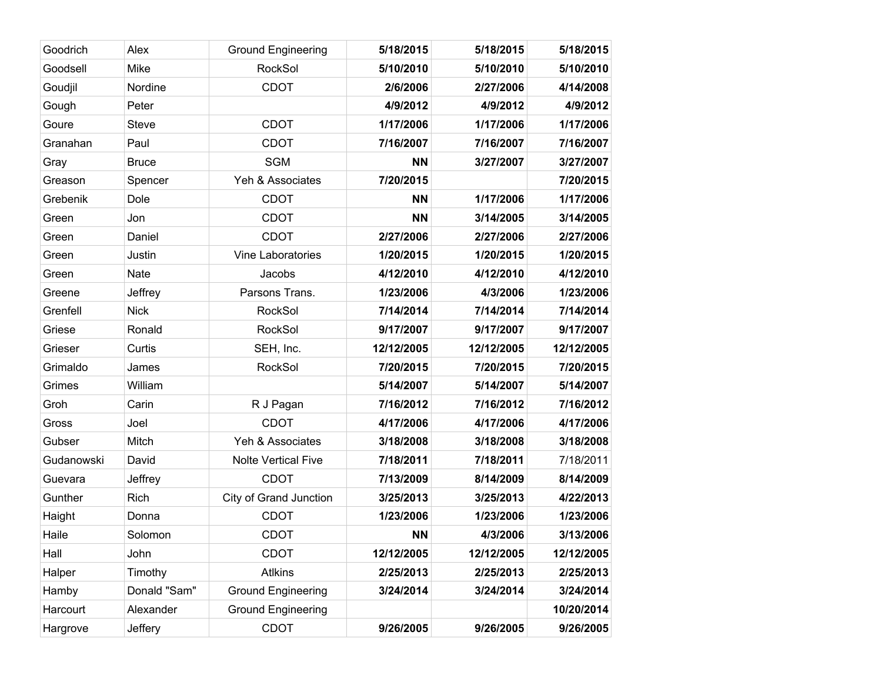| Goodrich   | Alex           | <b>Ground Engineering</b>  | 5/18/2015  | 5/18/2015  | 5/18/2015  |
|------------|----------------|----------------------------|------------|------------|------------|
| Goodsell   | Mike           | <b>RockSol</b>             | 5/10/2010  | 5/10/2010  | 5/10/2010  |
| Goudjil    | Nordine        | <b>CDOT</b>                | 2/6/2006   | 2/27/2006  | 4/14/2008  |
| Gough      | Peter          |                            | 4/9/2012   | 4/9/2012   | 4/9/2012   |
| Goure      | <b>Steve</b>   | <b>CDOT</b>                | 1/17/2006  | 1/17/2006  | 1/17/2006  |
| Granahan   | Paul           | <b>CDOT</b>                | 7/16/2007  | 7/16/2007  | 7/16/2007  |
| Gray       | <b>Bruce</b>   | <b>SGM</b>                 | <b>NN</b>  | 3/27/2007  | 3/27/2007  |
| Greason    | Spencer        | Yeh & Associates           | 7/20/2015  |            | 7/20/2015  |
| Grebenik   | Dole           | <b>CDOT</b>                | <b>NN</b>  | 1/17/2006  | 1/17/2006  |
| Green      | Jon            | <b>CDOT</b>                | <b>NN</b>  | 3/14/2005  | 3/14/2005  |
| Green      | Daniel         | <b>CDOT</b>                | 2/27/2006  | 2/27/2006  | 2/27/2006  |
| Green      | Justin         | Vine Laboratories          | 1/20/2015  | 1/20/2015  | 1/20/2015  |
| Green      | <b>Nate</b>    | Jacobs                     | 4/12/2010  | 4/12/2010  | 4/12/2010  |
| Greene     | Jeffrey        | Parsons Trans.             | 1/23/2006  | 4/3/2006   | 1/23/2006  |
| Grenfell   | <b>Nick</b>    | RockSol                    | 7/14/2014  | 7/14/2014  | 7/14/2014  |
| Griese     | Ronald         | <b>RockSol</b>             | 9/17/2007  | 9/17/2007  | 9/17/2007  |
| Grieser    | Curtis         | SEH, Inc.                  | 12/12/2005 | 12/12/2005 | 12/12/2005 |
| Grimaldo   | James          | RockSol                    | 7/20/2015  | 7/20/2015  | 7/20/2015  |
| Grimes     | William        |                            | 5/14/2007  | 5/14/2007  | 5/14/2007  |
| Groh       | Carin          | R J Pagan                  | 7/16/2012  | 7/16/2012  | 7/16/2012  |
| Gross      | Joel           | <b>CDOT</b>                | 4/17/2006  | 4/17/2006  | 4/17/2006  |
| Gubser     | Mitch          | Yeh & Associates           | 3/18/2008  | 3/18/2008  | 3/18/2008  |
| Gudanowski | David          | <b>Nolte Vertical Five</b> | 7/18/2011  | 7/18/2011  | 7/18/2011  |
| Guevara    | Jeffrey        | <b>CDOT</b>                | 7/13/2009  | 8/14/2009  | 8/14/2009  |
| Gunther    | Rich           | City of Grand Junction     | 3/25/2013  | 3/25/2013  | 4/22/2013  |
| Haight     | Donna          | <b>CDOT</b>                | 1/23/2006  | 1/23/2006  | 1/23/2006  |
| Haile      | Solomon        | <b>CDOT</b>                | <b>NN</b>  | 4/3/2006   | 3/13/2006  |
| Hall       | John           | <b>CDOT</b>                | 12/12/2005 | 12/12/2005 | 12/12/2005 |
| Halper     | Timothy        | <b>Atlkins</b>             | 2/25/2013  | 2/25/2013  | 2/25/2013  |
| Hamby      | Donald "Sam"   | <b>Ground Engineering</b>  | 3/24/2014  | 3/24/2014  | 3/24/2014  |
| Harcourt   | Alexander      | <b>Ground Engineering</b>  |            |            | 10/20/2014 |
| Hargrove   | <b>Jeffery</b> | CDOT                       | 9/26/2005  | 9/26/2005  | 9/26/2005  |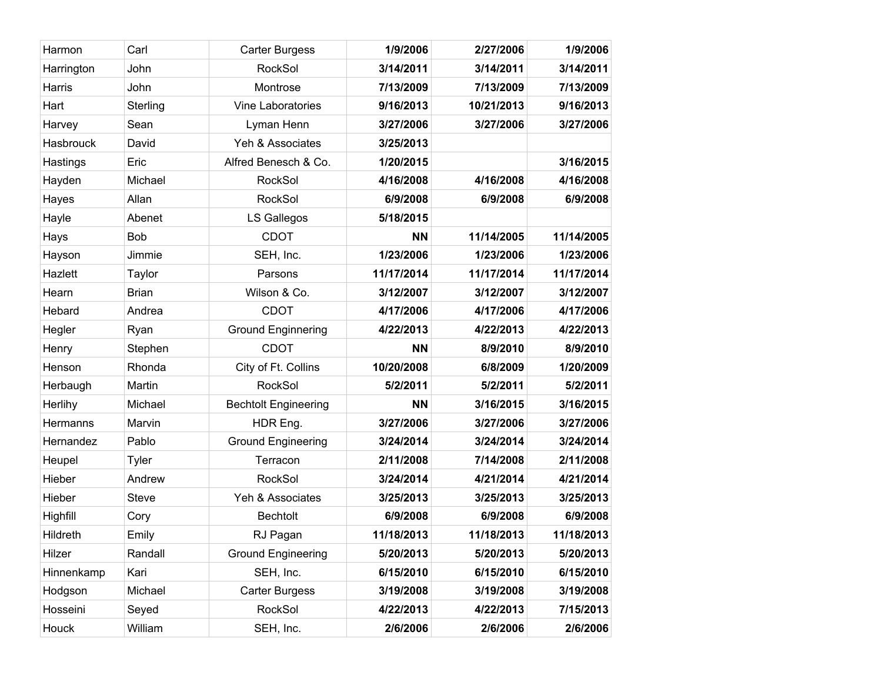| Harmon          | Carl         | <b>Carter Burgess</b>       | 1/9/2006   | 2/27/2006  | 1/9/2006   |
|-----------------|--------------|-----------------------------|------------|------------|------------|
| Harrington      | John         | RockSol                     | 3/14/2011  | 3/14/2011  | 3/14/2011  |
| Harris          | John         | Montrose                    | 7/13/2009  | 7/13/2009  | 7/13/2009  |
| Hart            | Sterling     | Vine Laboratories           | 9/16/2013  | 10/21/2013 | 9/16/2013  |
| Harvey          | Sean         | Lyman Henn                  | 3/27/2006  | 3/27/2006  | 3/27/2006  |
| Hasbrouck       | David        | Yeh & Associates            | 3/25/2013  |            |            |
| Hastings        | Eric         | Alfred Benesch & Co.        | 1/20/2015  |            | 3/16/2015  |
| Hayden          | Michael      | RockSol                     | 4/16/2008  | 4/16/2008  | 4/16/2008  |
| Hayes           | Allan        | RockSol                     | 6/9/2008   | 6/9/2008   | 6/9/2008   |
| Hayle           | Abenet       | LS Gallegos                 | 5/18/2015  |            |            |
| Hays            | Bob          | <b>CDOT</b>                 | <b>NN</b>  | 11/14/2005 | 11/14/2005 |
| Hayson          | Jimmie       | SEH, Inc.                   | 1/23/2006  | 1/23/2006  | 1/23/2006  |
| Hazlett         | Taylor       | Parsons                     | 11/17/2014 | 11/17/2014 | 11/17/2014 |
| Hearn           | <b>Brian</b> | Wilson & Co.                | 3/12/2007  | 3/12/2007  | 3/12/2007  |
| Hebard          | Andrea       | <b>CDOT</b>                 | 4/17/2006  | 4/17/2006  | 4/17/2006  |
| Hegler          | Ryan         | <b>Ground Enginnering</b>   | 4/22/2013  | 4/22/2013  | 4/22/2013  |
| Henry           | Stephen      | <b>CDOT</b>                 | <b>NN</b>  | 8/9/2010   | 8/9/2010   |
| Henson          | Rhonda       | City of Ft. Collins         | 10/20/2008 | 6/8/2009   | 1/20/2009  |
| Herbaugh        | Martin       | RockSol                     | 5/2/2011   | 5/2/2011   | 5/2/2011   |
| Herlihy         | Michael      | <b>Bechtolt Engineering</b> | <b>NN</b>  | 3/16/2015  | 3/16/2015  |
| Hermanns        | Marvin       | HDR Eng.                    | 3/27/2006  | 3/27/2006  | 3/27/2006  |
| Hernandez       | Pablo        | <b>Ground Engineering</b>   | 3/24/2014  | 3/24/2014  | 3/24/2014  |
| Heupel          | <b>Tyler</b> | Terracon                    | 2/11/2008  | 7/14/2008  | 2/11/2008  |
| Hieber          | Andrew       | RockSol                     | 3/24/2014  | 4/21/2014  | 4/21/2014  |
| Hieber          | <b>Steve</b> | Yeh & Associates            | 3/25/2013  | 3/25/2013  | 3/25/2013  |
| Highfill        | Cory         | <b>Bechtolt</b>             | 6/9/2008   | 6/9/2008   | 6/9/2008   |
| <b>Hildreth</b> | Emily        | RJ Pagan                    | 11/18/2013 | 11/18/2013 | 11/18/2013 |
| Hilzer          | Randall      | <b>Ground Engineering</b>   | 5/20/2013  | 5/20/2013  | 5/20/2013  |
| Hinnenkamp      | Kari         | SEH, Inc.                   | 6/15/2010  | 6/15/2010  | 6/15/2010  |
| Hodgson         | Michael      | <b>Carter Burgess</b>       | 3/19/2008  | 3/19/2008  | 3/19/2008  |
| Hosseini        | Seyed        | RockSol                     | 4/22/2013  | 4/22/2013  | 7/15/2013  |
| Houck           | William      | SEH, Inc.                   | 2/6/2006   | 2/6/2006   | 2/6/2006   |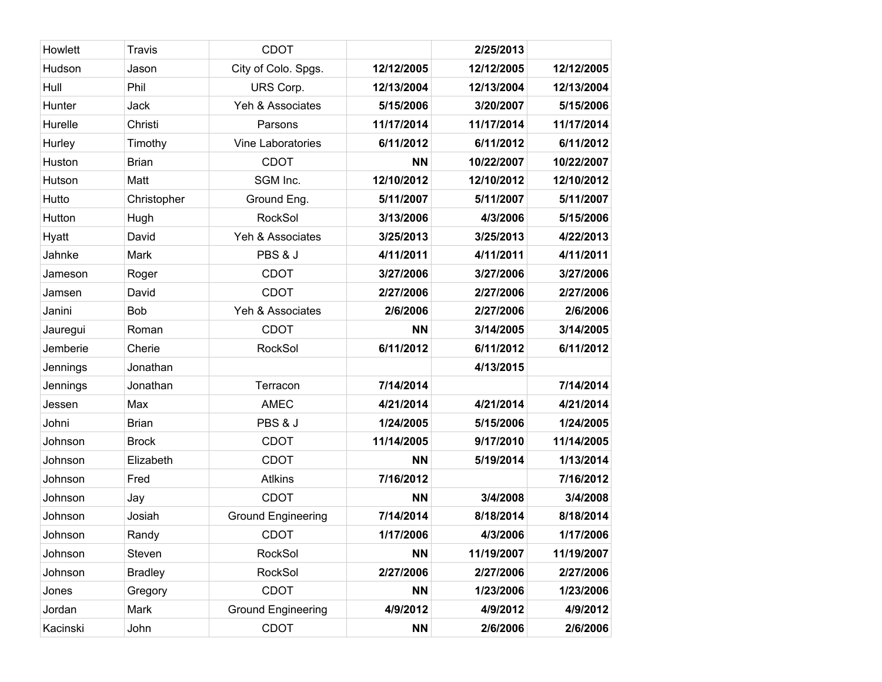| Howlett  | <b>Travis</b>  | <b>CDOT</b>               |            | 2/25/2013  |            |
|----------|----------------|---------------------------|------------|------------|------------|
| Hudson   | Jason          | City of Colo. Spgs.       | 12/12/2005 | 12/12/2005 | 12/12/2005 |
| Hull     | Phil           | URS Corp.                 | 12/13/2004 | 12/13/2004 | 12/13/2004 |
| Hunter   | Jack           | Yeh & Associates          | 5/15/2006  | 3/20/2007  | 5/15/2006  |
| Hurelle  | Christi        | Parsons                   | 11/17/2014 | 11/17/2014 | 11/17/2014 |
| Hurley   | Timothy        | Vine Laboratories         | 6/11/2012  | 6/11/2012  | 6/11/2012  |
| Huston   | <b>Brian</b>   | <b>CDOT</b>               | <b>NN</b>  | 10/22/2007 | 10/22/2007 |
| Hutson   | Matt           | SGM Inc.                  | 12/10/2012 | 12/10/2012 | 12/10/2012 |
| Hutto    | Christopher    | Ground Eng.               | 5/11/2007  | 5/11/2007  | 5/11/2007  |
| Hutton   | Hugh           | RockSol                   | 3/13/2006  | 4/3/2006   | 5/15/2006  |
| Hyatt    | David          | Yeh & Associates          | 3/25/2013  | 3/25/2013  | 4/22/2013  |
| Jahnke   | Mark           | PBS & J                   | 4/11/2011  | 4/11/2011  | 4/11/2011  |
| Jameson  | Roger          | <b>CDOT</b>               | 3/27/2006  | 3/27/2006  | 3/27/2006  |
| Jamsen   | David          | <b>CDOT</b>               | 2/27/2006  | 2/27/2006  | 2/27/2006  |
| Janini   | <b>Bob</b>     | Yeh & Associates          | 2/6/2006   | 2/27/2006  | 2/6/2006   |
| Jauregui | Roman          | <b>CDOT</b>               | <b>NN</b>  | 3/14/2005  | 3/14/2005  |
| Jemberie | Cherie         | <b>RockSol</b>            | 6/11/2012  | 6/11/2012  | 6/11/2012  |
| Jennings | Jonathan       |                           |            | 4/13/2015  |            |
| Jennings | Jonathan       | Terracon                  | 7/14/2014  |            | 7/14/2014  |
| Jessen   | Max            | <b>AMEC</b>               | 4/21/2014  | 4/21/2014  | 4/21/2014  |
| Johni    | <b>Brian</b>   | PBS & J                   | 1/24/2005  | 5/15/2006  | 1/24/2005  |
| Johnson  | <b>Brock</b>   | <b>CDOT</b>               | 11/14/2005 | 9/17/2010  | 11/14/2005 |
| Johnson  | Elizabeth      | <b>CDOT</b>               | <b>NN</b>  | 5/19/2014  | 1/13/2014  |
| Johnson  | Fred           | <b>Atlkins</b>            | 7/16/2012  |            | 7/16/2012  |
| Johnson  | Jay            | <b>CDOT</b>               | <b>NN</b>  | 3/4/2008   | 3/4/2008   |
| Johnson  | Josiah         | <b>Ground Engineering</b> | 7/14/2014  | 8/18/2014  | 8/18/2014  |
| Johnson  | Randy          | <b>CDOT</b>               | 1/17/2006  | 4/3/2006   | 1/17/2006  |
| Johnson  | Steven         | RockSol                   | <b>NN</b>  | 11/19/2007 | 11/19/2007 |
| Johnson  | <b>Bradley</b> | RockSol                   | 2/27/2006  | 2/27/2006  | 2/27/2006  |
| Jones    | Gregory        | <b>CDOT</b>               | <b>NN</b>  | 1/23/2006  | 1/23/2006  |
| Jordan   | Mark           | <b>Ground Engineering</b> | 4/9/2012   | 4/9/2012   | 4/9/2012   |
| Kacinski | John           | <b>CDOT</b>               | <b>NN</b>  | 2/6/2006   | 2/6/2006   |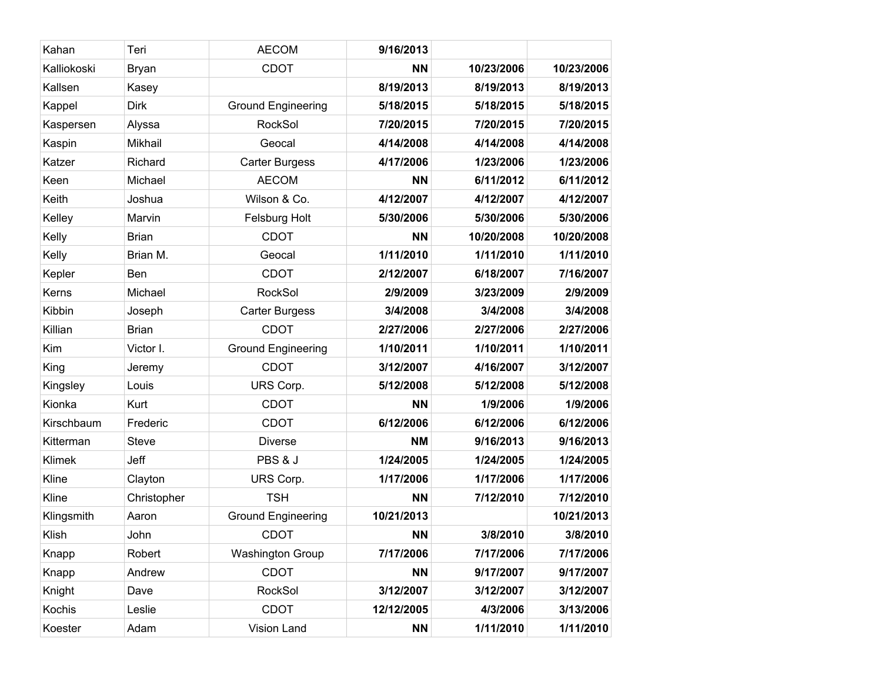| Kahan       | Teri         | <b>AECOM</b>              | 9/16/2013  |            |            |
|-------------|--------------|---------------------------|------------|------------|------------|
| Kalliokoski | <b>Bryan</b> | <b>CDOT</b>               | <b>NN</b>  | 10/23/2006 | 10/23/2006 |
| Kallsen     | Kasey        |                           | 8/19/2013  | 8/19/2013  | 8/19/2013  |
| Kappel      | <b>Dirk</b>  | <b>Ground Engineering</b> | 5/18/2015  | 5/18/2015  | 5/18/2015  |
| Kaspersen   | Alyssa       | <b>RockSol</b>            | 7/20/2015  | 7/20/2015  | 7/20/2015  |
| Kaspin      | Mikhail      | Geocal                    | 4/14/2008  | 4/14/2008  | 4/14/2008  |
| Katzer      | Richard      | <b>Carter Burgess</b>     | 4/17/2006  | 1/23/2006  | 1/23/2006  |
| Keen        | Michael      | <b>AECOM</b>              | <b>NN</b>  | 6/11/2012  | 6/11/2012  |
| Keith       | Joshua       | Wilson & Co.              | 4/12/2007  | 4/12/2007  | 4/12/2007  |
| Kelley      | Marvin       | Felsburg Holt             | 5/30/2006  | 5/30/2006  | 5/30/2006  |
| Kelly       | <b>Brian</b> | <b>CDOT</b>               | <b>NN</b>  | 10/20/2008 | 10/20/2008 |
| Kelly       | Brian M.     | Geocal                    | 1/11/2010  | 1/11/2010  | 1/11/2010  |
| Kepler      | Ben          | <b>CDOT</b>               | 2/12/2007  | 6/18/2007  | 7/16/2007  |
| Kerns       | Michael      | RockSol                   | 2/9/2009   | 3/23/2009  | 2/9/2009   |
| Kibbin      | Joseph       | <b>Carter Burgess</b>     | 3/4/2008   | 3/4/2008   | 3/4/2008   |
| Killian     | <b>Brian</b> | <b>CDOT</b>               | 2/27/2006  | 2/27/2006  | 2/27/2006  |
| Kim         | Victor I.    | <b>Ground Engineering</b> | 1/10/2011  | 1/10/2011  | 1/10/2011  |
| King        | Jeremy       | <b>CDOT</b>               | 3/12/2007  | 4/16/2007  | 3/12/2007  |
| Kingsley    | Louis        | URS Corp.                 | 5/12/2008  | 5/12/2008  | 5/12/2008  |
| Kionka      | Kurt         | <b>CDOT</b>               | <b>NN</b>  | 1/9/2006   | 1/9/2006   |
| Kirschbaum  | Frederic     | <b>CDOT</b>               | 6/12/2006  | 6/12/2006  | 6/12/2006  |
| Kitterman   | <b>Steve</b> | <b>Diverse</b>            | <b>NM</b>  | 9/16/2013  | 9/16/2013  |
| Klimek      | Jeff         | PBS & J                   | 1/24/2005  | 1/24/2005  | 1/24/2005  |
| Kline       | Clayton      | URS Corp.                 | 1/17/2006  | 1/17/2006  | 1/17/2006  |
| Kline       | Christopher  | <b>TSH</b>                | <b>NN</b>  | 7/12/2010  | 7/12/2010  |
| Klingsmith  | Aaron        | <b>Ground Engineering</b> | 10/21/2013 |            | 10/21/2013 |
| Klish       | John         | <b>CDOT</b>               | <b>NN</b>  | 3/8/2010   | 3/8/2010   |
| Knapp       | Robert       | <b>Washington Group</b>   | 7/17/2006  | 7/17/2006  | 7/17/2006  |
| Knapp       | Andrew       | <b>CDOT</b>               | <b>NN</b>  | 9/17/2007  | 9/17/2007  |
| Knight      | Dave         | <b>RockSol</b>            | 3/12/2007  | 3/12/2007  | 3/12/2007  |
| Kochis      | Leslie       | <b>CDOT</b>               | 12/12/2005 | 4/3/2006   | 3/13/2006  |
| Koester     | Adam         | Vision Land               | <b>NN</b>  | 1/11/2010  | 1/11/2010  |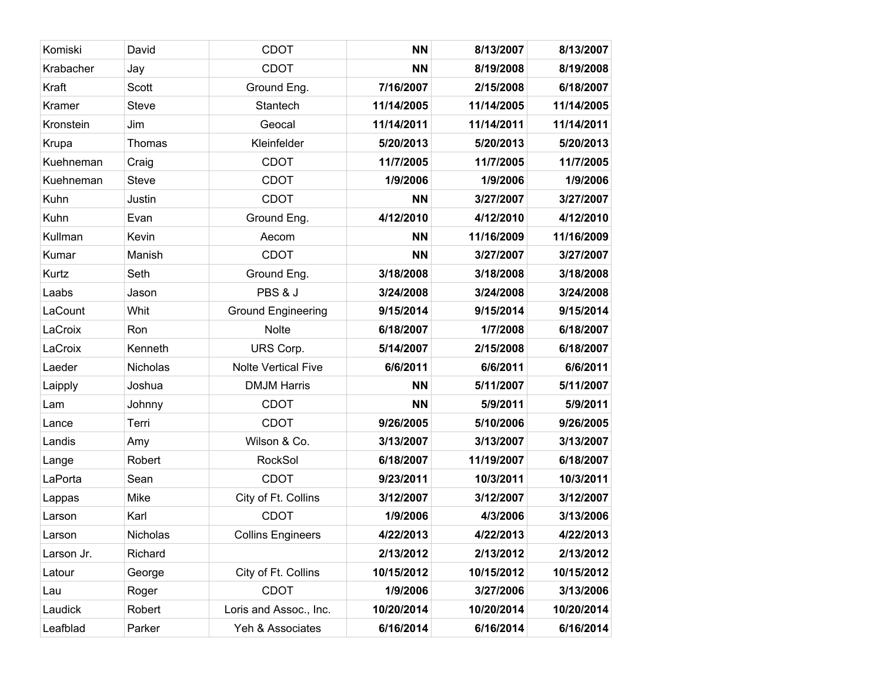| Komiski    | David        | <b>CDOT</b>                | <b>NN</b>  | 8/13/2007  | 8/13/2007  |
|------------|--------------|----------------------------|------------|------------|------------|
| Krabacher  | Jay          | <b>CDOT</b>                | <b>NN</b>  | 8/19/2008  | 8/19/2008  |
| Kraft      | Scott        | Ground Eng.                | 7/16/2007  | 2/15/2008  | 6/18/2007  |
| Kramer     | <b>Steve</b> | Stantech                   | 11/14/2005 | 11/14/2005 | 11/14/2005 |
| Kronstein  | Jim          | Geocal                     | 11/14/2011 | 11/14/2011 | 11/14/2011 |
| Krupa      | Thomas       | Kleinfelder                | 5/20/2013  | 5/20/2013  | 5/20/2013  |
| Kuehneman  | Craig        | <b>CDOT</b>                | 11/7/2005  | 11/7/2005  | 11/7/2005  |
| Kuehneman  | <b>Steve</b> | <b>CDOT</b>                | 1/9/2006   | 1/9/2006   | 1/9/2006   |
| Kuhn       | Justin       | <b>CDOT</b>                | <b>NN</b>  | 3/27/2007  | 3/27/2007  |
| Kuhn       | Evan         | Ground Eng.                | 4/12/2010  | 4/12/2010  | 4/12/2010  |
| Kullman    | Kevin        | Aecom                      | <b>NN</b>  | 11/16/2009 | 11/16/2009 |
| Kumar      | Manish       | <b>CDOT</b>                | <b>NN</b>  | 3/27/2007  | 3/27/2007  |
| Kurtz      | Seth         | Ground Eng.                | 3/18/2008  | 3/18/2008  | 3/18/2008  |
| Laabs      | Jason        | PBS & J                    | 3/24/2008  | 3/24/2008  | 3/24/2008  |
| LaCount    | Whit         | <b>Ground Engineering</b>  | 9/15/2014  | 9/15/2014  | 9/15/2014  |
| LaCroix    | Ron          | Nolte                      | 6/18/2007  | 1/7/2008   | 6/18/2007  |
| LaCroix    | Kenneth      | URS Corp.                  | 5/14/2007  | 2/15/2008  | 6/18/2007  |
| Laeder     | Nicholas     | <b>Nolte Vertical Five</b> | 6/6/2011   | 6/6/2011   | 6/6/2011   |
| Laipply    | Joshua       | <b>DMJM Harris</b>         | <b>NN</b>  | 5/11/2007  | 5/11/2007  |
| Lam        | Johnny       | <b>CDOT</b>                | <b>NN</b>  | 5/9/2011   | 5/9/2011   |
| Lance      | Terri        | <b>CDOT</b>                | 9/26/2005  | 5/10/2006  | 9/26/2005  |
| Landis     | Amy          | Wilson & Co.               | 3/13/2007  | 3/13/2007  | 3/13/2007  |
| Lange      | Robert       | RockSol                    | 6/18/2007  | 11/19/2007 | 6/18/2007  |
| LaPorta    | Sean         | <b>CDOT</b>                | 9/23/2011  | 10/3/2011  | 10/3/2011  |
| Lappas     | Mike         | City of Ft. Collins        | 3/12/2007  | 3/12/2007  | 3/12/2007  |
| Larson     | Karl         | <b>CDOT</b>                | 1/9/2006   | 4/3/2006   | 3/13/2006  |
| Larson     | Nicholas     | <b>Collins Engineers</b>   | 4/22/2013  | 4/22/2013  | 4/22/2013  |
| Larson Jr. | Richard      |                            | 2/13/2012  | 2/13/2012  | 2/13/2012  |
| Latour     | George       | City of Ft. Collins        | 10/15/2012 | 10/15/2012 | 10/15/2012 |
| Lau        | Roger        | <b>CDOT</b>                | 1/9/2006   | 3/27/2006  | 3/13/2006  |
| Laudick    | Robert       | Loris and Assoc., Inc.     | 10/20/2014 | 10/20/2014 | 10/20/2014 |
| Leafblad   | Parker       | Yeh & Associates           | 6/16/2014  | 6/16/2014  | 6/16/2014  |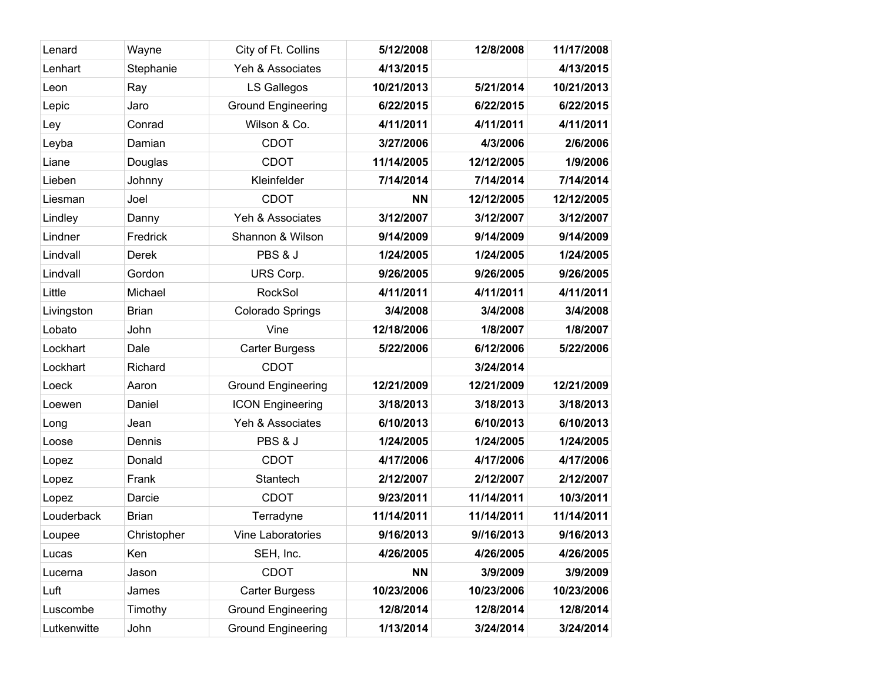| Lenard      | Wayne        | City of Ft. Collins       | 5/12/2008  | 12/8/2008  | 11/17/2008 |
|-------------|--------------|---------------------------|------------|------------|------------|
| Lenhart     | Stephanie    | Yeh & Associates          | 4/13/2015  |            | 4/13/2015  |
| Leon        | Ray          | LS Gallegos               | 10/21/2013 | 5/21/2014  | 10/21/2013 |
| Lepic       | Jaro         | <b>Ground Engineering</b> | 6/22/2015  | 6/22/2015  | 6/22/2015  |
| Ley         | Conrad       | Wilson & Co.              | 4/11/2011  | 4/11/2011  | 4/11/2011  |
| Leyba       | Damian       | <b>CDOT</b>               | 3/27/2006  | 4/3/2006   | 2/6/2006   |
| Liane       | Douglas      | <b>CDOT</b>               | 11/14/2005 | 12/12/2005 | 1/9/2006   |
| Lieben      | Johnny       | Kleinfelder               | 7/14/2014  | 7/14/2014  | 7/14/2014  |
| Liesman     | Joel         | <b>CDOT</b>               | <b>NN</b>  | 12/12/2005 | 12/12/2005 |
| Lindley     | Danny        | Yeh & Associates          | 3/12/2007  | 3/12/2007  | 3/12/2007  |
| Lindner     | Fredrick     | Shannon & Wilson          | 9/14/2009  | 9/14/2009  | 9/14/2009  |
| Lindvall    | Derek        | PBS & J                   | 1/24/2005  | 1/24/2005  | 1/24/2005  |
| Lindvall    | Gordon       | URS Corp.                 | 9/26/2005  | 9/26/2005  | 9/26/2005  |
| Little      | Michael      | <b>RockSol</b>            | 4/11/2011  | 4/11/2011  | 4/11/2011  |
| Livingston  | <b>Brian</b> | Colorado Springs          | 3/4/2008   | 3/4/2008   | 3/4/2008   |
| Lobato      | John         | Vine                      | 12/18/2006 | 1/8/2007   | 1/8/2007   |
| Lockhart    | Dale         | <b>Carter Burgess</b>     | 5/22/2006  | 6/12/2006  | 5/22/2006  |
| Lockhart    | Richard      | <b>CDOT</b>               |            | 3/24/2014  |            |
| Loeck       | Aaron        | <b>Ground Engineering</b> | 12/21/2009 | 12/21/2009 | 12/21/2009 |
| Loewen      | Daniel       | <b>ICON Engineering</b>   | 3/18/2013  | 3/18/2013  | 3/18/2013  |
| Long        | Jean         | Yeh & Associates          | 6/10/2013  | 6/10/2013  | 6/10/2013  |
| Loose       | Dennis       | PBS & J                   | 1/24/2005  | 1/24/2005  | 1/24/2005  |
| Lopez       | Donald       | <b>CDOT</b>               | 4/17/2006  | 4/17/2006  | 4/17/2006  |
| Lopez       | Frank        | Stantech                  | 2/12/2007  | 2/12/2007  | 2/12/2007  |
| Lopez       | Darcie       | <b>CDOT</b>               | 9/23/2011  | 11/14/2011 | 10/3/2011  |
| Louderback  | <b>Brian</b> | Terradyne                 | 11/14/2011 | 11/14/2011 | 11/14/2011 |
| Loupee      | Christopher  | Vine Laboratories         | 9/16/2013  | 9//16/2013 | 9/16/2013  |
| Lucas       | Ken          | SEH, Inc.                 | 4/26/2005  | 4/26/2005  | 4/26/2005  |
| Lucerna     | Jason        | <b>CDOT</b>               | <b>NN</b>  | 3/9/2009   | 3/9/2009   |
| Luft        | James        | <b>Carter Burgess</b>     | 10/23/2006 | 10/23/2006 | 10/23/2006 |
| Luscombe    | Timothy      | <b>Ground Engineering</b> | 12/8/2014  | 12/8/2014  | 12/8/2014  |
| Lutkenwitte | John         | <b>Ground Engineering</b> | 1/13/2014  | 3/24/2014  | 3/24/2014  |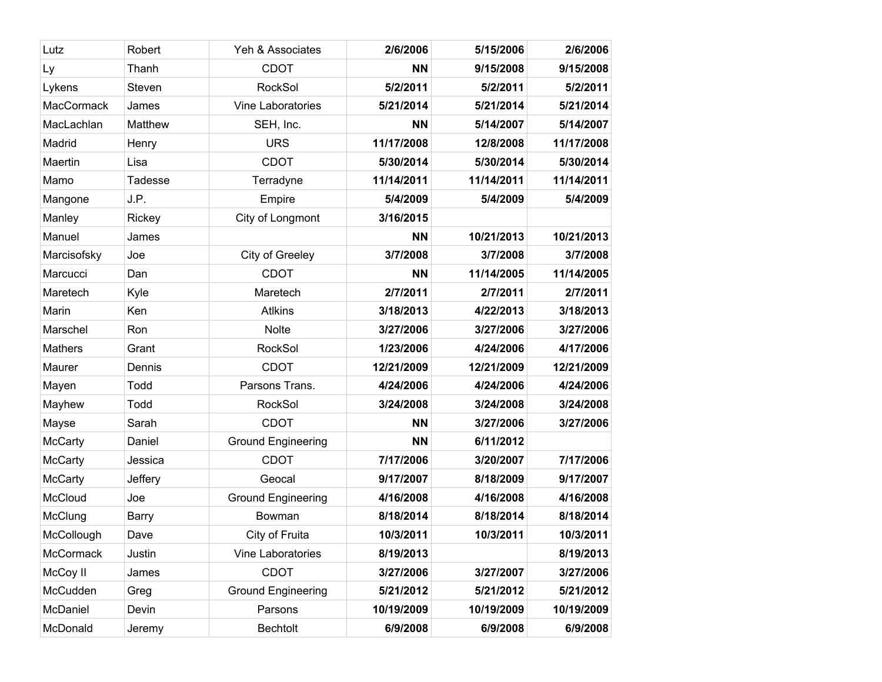| Lutz              | Robert       | Yeh & Associates          | 2/6/2006   | 5/15/2006  | 2/6/2006   |
|-------------------|--------------|---------------------------|------------|------------|------------|
| Ly                | Thanh        | <b>CDOT</b>               | <b>NN</b>  | 9/15/2008  | 9/15/2008  |
| Lykens            | Steven       | RockSol                   | 5/2/2011   | 5/2/2011   | 5/2/2011   |
| <b>MacCormack</b> | James        | Vine Laboratories         | 5/21/2014  | 5/21/2014  | 5/21/2014  |
| MacLachlan        | Matthew      | SEH, Inc.                 | <b>NN</b>  | 5/14/2007  | 5/14/2007  |
| Madrid            | Henry        | <b>URS</b>                | 11/17/2008 | 12/8/2008  | 11/17/2008 |
| Maertin           | Lisa         | <b>CDOT</b>               | 5/30/2014  | 5/30/2014  | 5/30/2014  |
| Mamo              | Tadesse      | Terradyne                 | 11/14/2011 | 11/14/2011 | 11/14/2011 |
| Mangone           | J.P.         | Empire                    | 5/4/2009   | 5/4/2009   | 5/4/2009   |
| Manley            | Rickey       | City of Longmont          | 3/16/2015  |            |            |
| Manuel            | James        |                           | <b>NN</b>  | 10/21/2013 | 10/21/2013 |
| Marcisofsky       | Joe          | City of Greeley           | 3/7/2008   | 3/7/2008   | 3/7/2008   |
| Marcucci          | Dan          | <b>CDOT</b>               | <b>NN</b>  | 11/14/2005 | 11/14/2005 |
| Maretech          | Kyle         | Maretech                  | 2/7/2011   | 2/7/2011   | 2/7/2011   |
| Marin             | Ken          | <b>Atlkins</b>            | 3/18/2013  | 4/22/2013  | 3/18/2013  |
| Marschel          | Ron          | Nolte                     | 3/27/2006  | 3/27/2006  | 3/27/2006  |
| <b>Mathers</b>    | Grant        | RockSol                   | 1/23/2006  | 4/24/2006  | 4/17/2006  |
| Maurer            | Dennis       | <b>CDOT</b>               | 12/21/2009 | 12/21/2009 | 12/21/2009 |
| Mayen             | Todd         | Parsons Trans.            | 4/24/2006  | 4/24/2006  | 4/24/2006  |
| Mayhew            | Todd         | <b>RockSol</b>            | 3/24/2008  | 3/24/2008  | 3/24/2008  |
| Mayse             | Sarah        | <b>CDOT</b>               | <b>NN</b>  | 3/27/2006  | 3/27/2006  |
| <b>McCarty</b>    | Daniel       | <b>Ground Engineering</b> | <b>NN</b>  | 6/11/2012  |            |
| <b>McCarty</b>    | Jessica      | <b>CDOT</b>               | 7/17/2006  | 3/20/2007  | 7/17/2006  |
| McCarty           | Jeffery      | Geocal                    | 9/17/2007  | 8/18/2009  | 9/17/2007  |
| McCloud           | Joe          | <b>Ground Engineering</b> | 4/16/2008  | 4/16/2008  | 4/16/2008  |
| McClung           | <b>Barry</b> | Bowman                    | 8/18/2014  | 8/18/2014  | 8/18/2014  |
| McCollough        | Dave         | City of Fruita            | 10/3/2011  | 10/3/2011  | 10/3/2011  |
| McCormack         | Justin       | Vine Laboratories         | 8/19/2013  |            | 8/19/2013  |
| McCoy II          | James        | <b>CDOT</b>               | 3/27/2006  | 3/27/2007  | 3/27/2006  |
| McCudden          | Greg         | <b>Ground Engineering</b> | 5/21/2012  | 5/21/2012  | 5/21/2012  |
| McDaniel          | Devin        | Parsons                   | 10/19/2009 | 10/19/2009 | 10/19/2009 |
| McDonald          | Jeremy       | <b>Bechtolt</b>           | 6/9/2008   | 6/9/2008   | 6/9/2008   |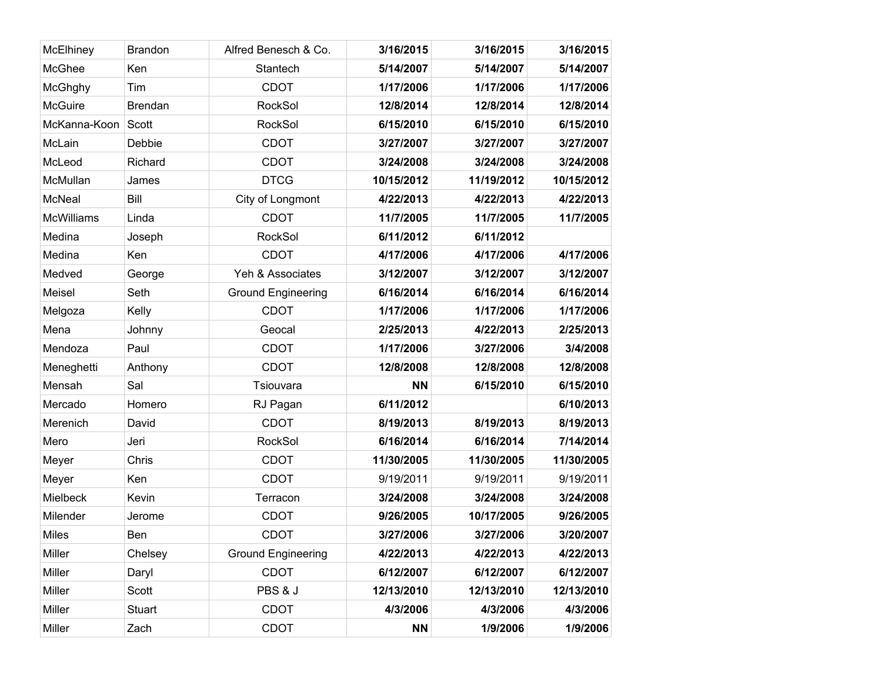| McElhiney         | <b>Brandon</b> | Alfred Benesch & Co.      | 3/16/2015  | 3/16/2015  | 3/16/2015  |
|-------------------|----------------|---------------------------|------------|------------|------------|
| McGhee            | Ken            | Stantech                  | 5/14/2007  | 5/14/2007  | 5/14/2007  |
| McGhghy           | Tim            | <b>CDOT</b>               | 1/17/2006  | 1/17/2006  | 1/17/2006  |
| <b>McGuire</b>    | <b>Brendan</b> | <b>RockSol</b>            | 12/8/2014  | 12/8/2014  | 12/8/2014  |
| McKanna-Koon      | Scott          | RockSol                   | 6/15/2010  | 6/15/2010  | 6/15/2010  |
| McLain            | Debbie         | <b>CDOT</b>               | 3/27/2007  | 3/27/2007  | 3/27/2007  |
| McLeod            | Richard        | <b>CDOT</b>               | 3/24/2008  | 3/24/2008  | 3/24/2008  |
| McMullan          | James          | <b>DTCG</b>               | 10/15/2012 | 11/19/2012 | 10/15/2012 |
| <b>McNeal</b>     | Bill           | City of Longmont          | 4/22/2013  | 4/22/2013  | 4/22/2013  |
| <b>McWilliams</b> | Linda          | <b>CDOT</b>               | 11/7/2005  | 11/7/2005  | 11/7/2005  |
| Medina            | Joseph         | RockSol                   | 6/11/2012  | 6/11/2012  |            |
| Medina            | Ken            | <b>CDOT</b>               | 4/17/2006  | 4/17/2006  | 4/17/2006  |
| Medved            | George         | Yeh & Associates          | 3/12/2007  | 3/12/2007  | 3/12/2007  |
| Meisel            | Seth           | <b>Ground Engineering</b> | 6/16/2014  | 6/16/2014  | 6/16/2014  |
| Melgoza           | Kelly          | <b>CDOT</b>               | 1/17/2006  | 1/17/2006  | 1/17/2006  |
| Mena              | Johnny         | Geocal                    | 2/25/2013  | 4/22/2013  | 2/25/2013  |
| Mendoza           | Paul           | <b>CDOT</b>               | 1/17/2006  | 3/27/2006  | 3/4/2008   |
| Meneghetti        | Anthony        | <b>CDOT</b>               | 12/8/2008  | 12/8/2008  | 12/8/2008  |
| Mensah            | Sal            | Tsiouvara                 | <b>NN</b>  | 6/15/2010  | 6/15/2010  |
| Mercado           | Homero         | RJ Pagan                  | 6/11/2012  |            | 6/10/2013  |
| Merenich          | David          | <b>CDOT</b>               | 8/19/2013  | 8/19/2013  | 8/19/2013  |
| Mero              | Jeri           | <b>RockSol</b>            | 6/16/2014  | 6/16/2014  | 7/14/2014  |
| Meyer             | Chris          | <b>CDOT</b>               | 11/30/2005 | 11/30/2005 | 11/30/2005 |
| Meyer             | Ken            | <b>CDOT</b>               | 9/19/2011  | 9/19/2011  | 9/19/2011  |
| Mielbeck          | Kevin          | Terracon                  | 3/24/2008  | 3/24/2008  | 3/24/2008  |
| Milender          | Jerome         | <b>CDOT</b>               | 9/26/2005  | 10/17/2005 | 9/26/2005  |
| <b>Miles</b>      | Ben            | <b>CDOT</b>               | 3/27/2006  | 3/27/2006  | 3/20/2007  |
| Miller            | Chelsey        | <b>Ground Engineering</b> | 4/22/2013  | 4/22/2013  | 4/22/2013  |
| Miller            | Daryl          | <b>CDOT</b>               | 6/12/2007  | 6/12/2007  | 6/12/2007  |
| Miller            | Scott          | PBS & J                   | 12/13/2010 | 12/13/2010 | 12/13/2010 |
| Miller            | Stuart         | <b>CDOT</b>               | 4/3/2006   | 4/3/2006   | 4/3/2006   |
| Miller            | Zach           | <b>CDOT</b>               | <b>NN</b>  | 1/9/2006   | 1/9/2006   |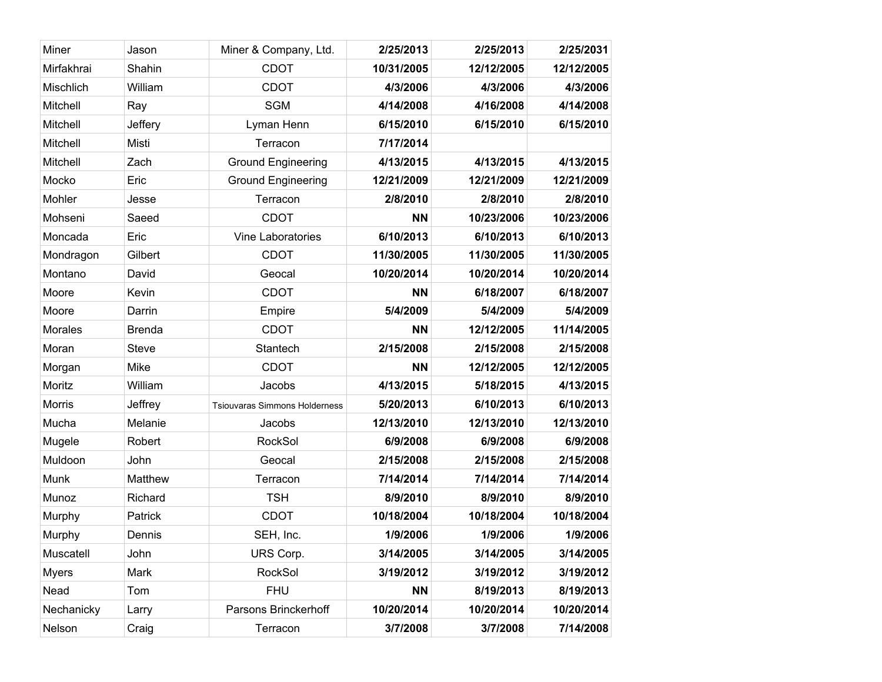| Miner         | Jason         | Miner & Company, Ltd.                | 2/25/2013  | 2/25/2013  | 2/25/2031  |
|---------------|---------------|--------------------------------------|------------|------------|------------|
| Mirfakhrai    | Shahin        | <b>CDOT</b>                          | 10/31/2005 | 12/12/2005 | 12/12/2005 |
| Mischlich     | William       | <b>CDOT</b>                          | 4/3/2006   | 4/3/2006   | 4/3/2006   |
| Mitchell      | Ray           | <b>SGM</b>                           | 4/14/2008  | 4/16/2008  | 4/14/2008  |
| Mitchell      | Jeffery       | Lyman Henn                           | 6/15/2010  | 6/15/2010  | 6/15/2010  |
| Mitchell      | Misti         | Terracon                             | 7/17/2014  |            |            |
| Mitchell      | Zach          | <b>Ground Engineering</b>            | 4/13/2015  | 4/13/2015  | 4/13/2015  |
| Mocko         | Eric          | <b>Ground Engineering</b>            | 12/21/2009 | 12/21/2009 | 12/21/2009 |
| Mohler        | Jesse         | Terracon                             | 2/8/2010   | 2/8/2010   | 2/8/2010   |
| Mohseni       | Saeed         | <b>CDOT</b>                          | <b>NN</b>  | 10/23/2006 | 10/23/2006 |
| Moncada       | Eric          | Vine Laboratories                    | 6/10/2013  | 6/10/2013  | 6/10/2013  |
| Mondragon     | Gilbert       | <b>CDOT</b>                          | 11/30/2005 | 11/30/2005 | 11/30/2005 |
| Montano       | David         | Geocal                               | 10/20/2014 | 10/20/2014 | 10/20/2014 |
| Moore         | Kevin         | <b>CDOT</b>                          | <b>NN</b>  | 6/18/2007  | 6/18/2007  |
| Moore         | Darrin        | Empire                               | 5/4/2009   | 5/4/2009   | 5/4/2009   |
| Morales       | <b>Brenda</b> | <b>CDOT</b>                          | <b>NN</b>  | 12/12/2005 | 11/14/2005 |
| Moran         | <b>Steve</b>  | Stantech                             | 2/15/2008  | 2/15/2008  | 2/15/2008  |
| Morgan        | Mike          | <b>CDOT</b>                          | <b>NN</b>  | 12/12/2005 | 12/12/2005 |
| Moritz        | William       | Jacobs                               | 4/13/2015  | 5/18/2015  | 4/13/2015  |
| <b>Morris</b> | Jeffrey       | <b>Tsiouvaras Simmons Holderness</b> | 5/20/2013  | 6/10/2013  | 6/10/2013  |
| Mucha         | Melanie       | Jacobs                               | 12/13/2010 | 12/13/2010 | 12/13/2010 |
| Mugele        | Robert        | <b>RockSol</b>                       | 6/9/2008   | 6/9/2008   | 6/9/2008   |
| Muldoon       | John          | Geocal                               | 2/15/2008  | 2/15/2008  | 2/15/2008  |
| Munk          | Matthew       | Terracon                             | 7/14/2014  | 7/14/2014  | 7/14/2014  |
| Munoz         | Richard       | <b>TSH</b>                           | 8/9/2010   | 8/9/2010   | 8/9/2010   |
| Murphy        | Patrick       | <b>CDOT</b>                          | 10/18/2004 | 10/18/2004 | 10/18/2004 |
| Murphy        | Dennis        | SEH, Inc.                            | 1/9/2006   | 1/9/2006   | 1/9/2006   |
| Muscatell     | John          | URS Corp.                            | 3/14/2005  | 3/14/2005  | 3/14/2005  |
| <b>Myers</b>  | Mark          | RockSol                              | 3/19/2012  | 3/19/2012  | 3/19/2012  |
| Nead          | Tom           | <b>FHU</b>                           | <b>NN</b>  | 8/19/2013  | 8/19/2013  |
| Nechanicky    | Larry         | Parsons Brinckerhoff                 | 10/20/2014 | 10/20/2014 | 10/20/2014 |
| Nelson        | Craig         | Terracon                             | 3/7/2008   | 3/7/2008   | 7/14/2008  |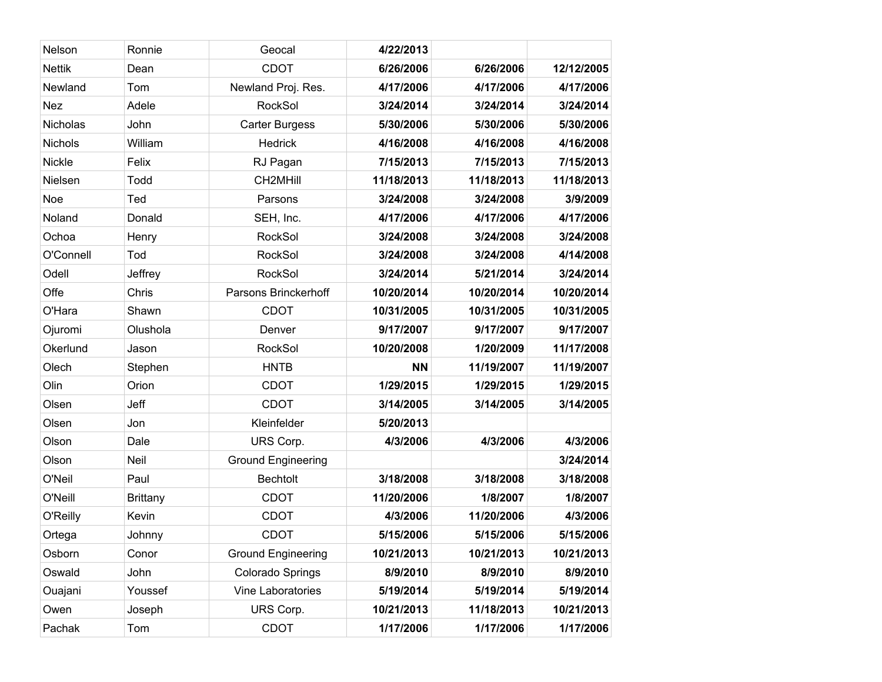| Nelson         | Ronnie          | Geocal                    | 4/22/2013  |            |            |
|----------------|-----------------|---------------------------|------------|------------|------------|
| <b>Nettik</b>  | Dean            | <b>CDOT</b>               | 6/26/2006  | 6/26/2006  | 12/12/2005 |
| Newland        | Tom             | Newland Proj. Res.        | 4/17/2006  | 4/17/2006  | 4/17/2006  |
| <b>Nez</b>     | Adele           | RockSol                   | 3/24/2014  | 3/24/2014  | 3/24/2014  |
| Nicholas       | John            | <b>Carter Burgess</b>     | 5/30/2006  | 5/30/2006  | 5/30/2006  |
| <b>Nichols</b> | William         | <b>Hedrick</b>            | 4/16/2008  | 4/16/2008  | 4/16/2008  |
| <b>Nickle</b>  | Felix           | RJ Pagan                  | 7/15/2013  | 7/15/2013  | 7/15/2013  |
| Nielsen        | Todd            | CH2MHill                  | 11/18/2013 | 11/18/2013 | 11/18/2013 |
| Noe            | Ted             | Parsons                   | 3/24/2008  | 3/24/2008  | 3/9/2009   |
| Noland         | Donald          | SEH, Inc.                 | 4/17/2006  | 4/17/2006  | 4/17/2006  |
| Ochoa          | Henry           | <b>RockSol</b>            | 3/24/2008  | 3/24/2008  | 3/24/2008  |
| O'Connell      | Tod             | <b>RockSol</b>            | 3/24/2008  | 3/24/2008  | 4/14/2008  |
| Odell          | Jeffrey         | <b>RockSol</b>            | 3/24/2014  | 5/21/2014  | 3/24/2014  |
| Offe           | Chris           | Parsons Brinckerhoff      | 10/20/2014 | 10/20/2014 | 10/20/2014 |
| O'Hara         | Shawn           | <b>CDOT</b>               | 10/31/2005 | 10/31/2005 | 10/31/2005 |
| Ojuromi        | Olushola        | Denver                    | 9/17/2007  | 9/17/2007  | 9/17/2007  |
| Okerlund       | Jason           | <b>RockSol</b>            | 10/20/2008 | 1/20/2009  | 11/17/2008 |
| Olech          | Stephen         | <b>HNTB</b>               | <b>NN</b>  | 11/19/2007 | 11/19/2007 |
| Olin           | Orion           | <b>CDOT</b>               | 1/29/2015  | 1/29/2015  | 1/29/2015  |
| Olsen          | Jeff            | <b>CDOT</b>               | 3/14/2005  | 3/14/2005  | 3/14/2005  |
| Olsen          | Jon             | Kleinfelder               | 5/20/2013  |            |            |
| Olson          | Dale            | URS Corp.                 | 4/3/2006   | 4/3/2006   | 4/3/2006   |
| Olson          | Neil            | <b>Ground Engineering</b> |            |            | 3/24/2014  |
| O'Neil         | Paul            | <b>Bechtolt</b>           | 3/18/2008  | 3/18/2008  | 3/18/2008  |
| O'Neill        | <b>Brittany</b> | <b>CDOT</b>               | 11/20/2006 | 1/8/2007   | 1/8/2007   |
| O'Reilly       | Kevin           | <b>CDOT</b>               | 4/3/2006   | 11/20/2006 | 4/3/2006   |
| Ortega         | Johnny          | <b>CDOT</b>               | 5/15/2006  | 5/15/2006  | 5/15/2006  |
| Osborn         | Conor           | <b>Ground Engineering</b> | 10/21/2013 | 10/21/2013 | 10/21/2013 |
| Oswald         | John            | Colorado Springs          | 8/9/2010   | 8/9/2010   | 8/9/2010   |
| Ouajani        | Youssef         | Vine Laboratories         | 5/19/2014  | 5/19/2014  | 5/19/2014  |
| Owen           | Joseph          | URS Corp.                 | 10/21/2013 | 11/18/2013 | 10/21/2013 |
| Pachak         | Tom             | CDOT                      | 1/17/2006  | 1/17/2006  | 1/17/2006  |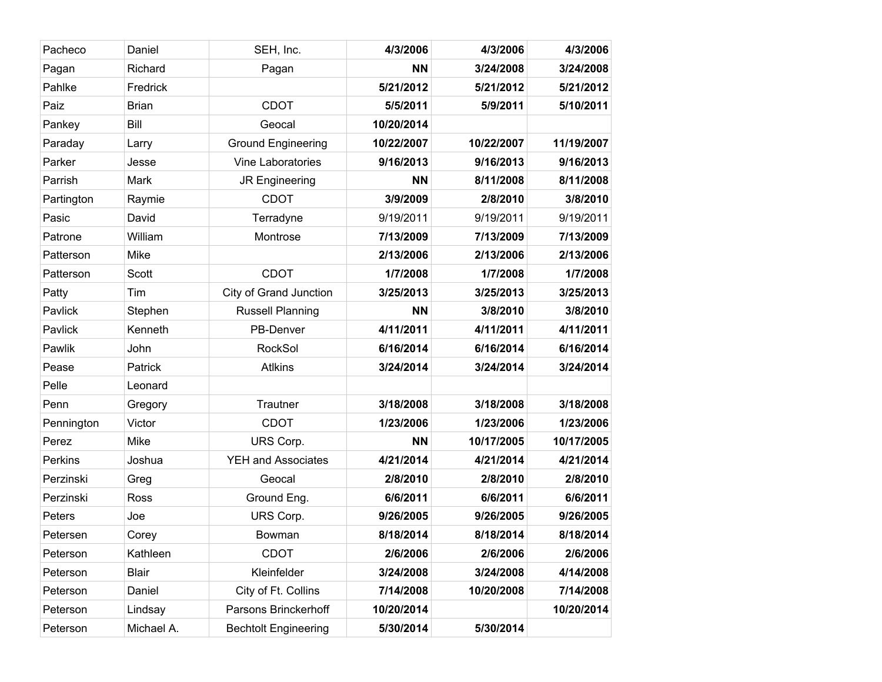| Pacheco    | Daniel       | SEH, Inc.                   | 4/3/2006   | 4/3/2006   | 4/3/2006   |
|------------|--------------|-----------------------------|------------|------------|------------|
| Pagan      | Richard      | Pagan                       | <b>NN</b>  | 3/24/2008  | 3/24/2008  |
| Pahlke     | Fredrick     |                             | 5/21/2012  | 5/21/2012  | 5/21/2012  |
| Paiz       | <b>Brian</b> | <b>CDOT</b>                 | 5/5/2011   | 5/9/2011   | 5/10/2011  |
| Pankey     | Bill         | Geocal                      | 10/20/2014 |            |            |
| Paraday    | Larry        | <b>Ground Engineering</b>   | 10/22/2007 | 10/22/2007 | 11/19/2007 |
| Parker     | Jesse        | Vine Laboratories           | 9/16/2013  | 9/16/2013  | 9/16/2013  |
| Parrish    | Mark         | JR Engineering              | <b>NN</b>  | 8/11/2008  | 8/11/2008  |
| Partington | Raymie       | <b>CDOT</b>                 | 3/9/2009   | 2/8/2010   | 3/8/2010   |
| Pasic      | David        | Terradyne                   | 9/19/2011  | 9/19/2011  | 9/19/2011  |
| Patrone    | William      | Montrose                    | 7/13/2009  | 7/13/2009  | 7/13/2009  |
| Patterson  | Mike         |                             | 2/13/2006  | 2/13/2006  | 2/13/2006  |
| Patterson  | Scott        | <b>CDOT</b>                 | 1/7/2008   | 1/7/2008   | 1/7/2008   |
| Patty      | Tim          | City of Grand Junction      | 3/25/2013  | 3/25/2013  | 3/25/2013  |
| Pavlick    | Stephen      | <b>Russell Planning</b>     | <b>NN</b>  | 3/8/2010   | 3/8/2010   |
| Pavlick    | Kenneth      | PB-Denver                   | 4/11/2011  | 4/11/2011  | 4/11/2011  |
| Pawlik     | John         | <b>RockSol</b>              | 6/16/2014  | 6/16/2014  | 6/16/2014  |
| Pease      | Patrick      | <b>Atlkins</b>              | 3/24/2014  | 3/24/2014  | 3/24/2014  |
| Pelle      | Leonard      |                             |            |            |            |
| Penn       | Gregory      | Trautner                    | 3/18/2008  | 3/18/2008  | 3/18/2008  |
| Pennington | Victor       | <b>CDOT</b>                 | 1/23/2006  | 1/23/2006  | 1/23/2006  |
| Perez      | <b>Mike</b>  | URS Corp.                   | <b>NN</b>  | 10/17/2005 | 10/17/2005 |
| Perkins    | Joshua       | <b>YEH and Associates</b>   | 4/21/2014  | 4/21/2014  | 4/21/2014  |
| Perzinski  | Greg         | Geocal                      | 2/8/2010   | 2/8/2010   | 2/8/2010   |
| Perzinski  | Ross         | Ground Eng.                 | 6/6/2011   | 6/6/2011   | 6/6/2011   |
| Peters     | Joe          | URS Corp.                   | 9/26/2005  | 9/26/2005  | 9/26/2005  |
| Petersen   | Corey        | Bowman                      | 8/18/2014  | 8/18/2014  | 8/18/2014  |
| Peterson   | Kathleen     | <b>CDOT</b>                 | 2/6/2006   | 2/6/2006   | 2/6/2006   |
| Peterson   | Blair        | Kleinfelder                 | 3/24/2008  | 3/24/2008  | 4/14/2008  |
| Peterson   | Daniel       | City of Ft. Collins         | 7/14/2008  | 10/20/2008 | 7/14/2008  |
| Peterson   | Lindsay      | Parsons Brinckerhoff        | 10/20/2014 |            | 10/20/2014 |
| Peterson   | Michael A.   | <b>Bechtolt Engineering</b> | 5/30/2014  | 5/30/2014  |            |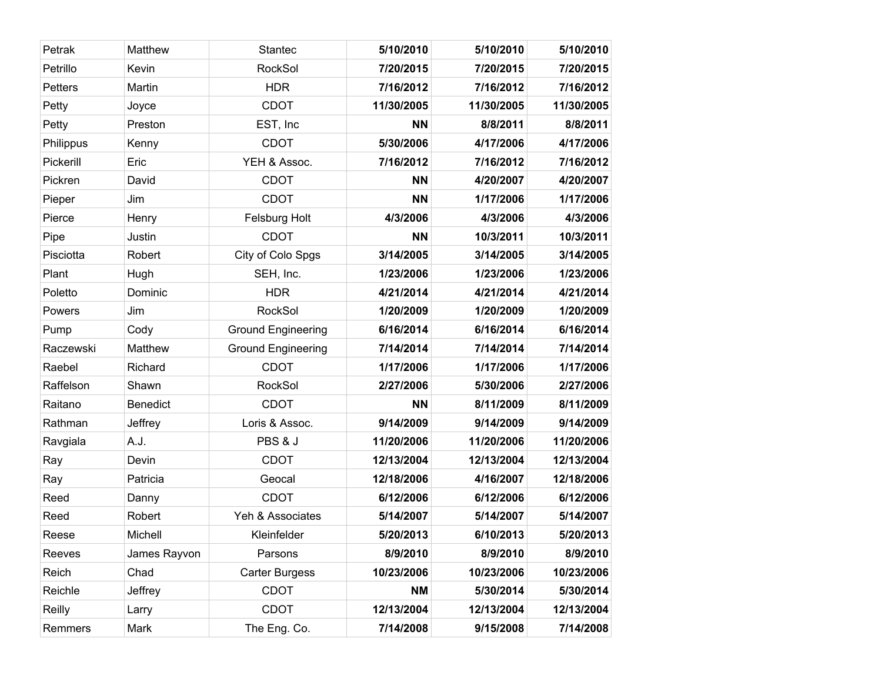| Petrak         | <b>Matthew</b>  | <b>Stantec</b>            | 5/10/2010  | 5/10/2010  | 5/10/2010  |
|----------------|-----------------|---------------------------|------------|------------|------------|
| Petrillo       | Kevin           | <b>RockSol</b>            | 7/20/2015  | 7/20/2015  | 7/20/2015  |
| <b>Petters</b> | Martin          | <b>HDR</b>                | 7/16/2012  | 7/16/2012  | 7/16/2012  |
| Petty          | Joyce           | <b>CDOT</b>               | 11/30/2005 | 11/30/2005 | 11/30/2005 |
| Petty          | Preston         | EST, Inc                  | <b>NN</b>  | 8/8/2011   | 8/8/2011   |
| Philippus      | Kenny           | <b>CDOT</b>               | 5/30/2006  | 4/17/2006  | 4/17/2006  |
| Pickerill      | Eric            | YEH & Assoc.              | 7/16/2012  | 7/16/2012  | 7/16/2012  |
| Pickren        | David           | <b>CDOT</b>               | <b>NN</b>  | 4/20/2007  | 4/20/2007  |
| Pieper         | Jim             | <b>CDOT</b>               | <b>NN</b>  | 1/17/2006  | 1/17/2006  |
| Pierce         | Henry           | Felsburg Holt             | 4/3/2006   | 4/3/2006   | 4/3/2006   |
| Pipe           | Justin          | <b>CDOT</b>               | <b>NN</b>  | 10/3/2011  | 10/3/2011  |
| Pisciotta      | Robert          | City of Colo Spgs         | 3/14/2005  | 3/14/2005  | 3/14/2005  |
| Plant          | Hugh            | SEH, Inc.                 | 1/23/2006  | 1/23/2006  | 1/23/2006  |
| Poletto        | Dominic         | <b>HDR</b>                | 4/21/2014  | 4/21/2014  | 4/21/2014  |
| Powers         | Jim             | RockSol                   | 1/20/2009  | 1/20/2009  | 1/20/2009  |
| Pump           | Cody            | <b>Ground Engineering</b> | 6/16/2014  | 6/16/2014  | 6/16/2014  |
| Raczewski      | <b>Matthew</b>  | <b>Ground Engineering</b> | 7/14/2014  | 7/14/2014  | 7/14/2014  |
| Raebel         | Richard         | <b>CDOT</b>               | 1/17/2006  | 1/17/2006  | 1/17/2006  |
| Raffelson      | Shawn           | <b>RockSol</b>            | 2/27/2006  | 5/30/2006  | 2/27/2006  |
| Raitano        | <b>Benedict</b> | <b>CDOT</b>               | <b>NN</b>  | 8/11/2009  | 8/11/2009  |
| Rathman        | Jeffrey         | Loris & Assoc.            | 9/14/2009  | 9/14/2009  | 9/14/2009  |
| Ravgiala       | A.J.            | PBS & J                   | 11/20/2006 | 11/20/2006 | 11/20/2006 |
| Ray            | Devin           | <b>CDOT</b>               | 12/13/2004 | 12/13/2004 | 12/13/2004 |
| Ray            | Patricia        | Geocal                    | 12/18/2006 | 4/16/2007  | 12/18/2006 |
| Reed           | Danny           | <b>CDOT</b>               | 6/12/2006  | 6/12/2006  | 6/12/2006  |
| Reed           | Robert          | Yeh & Associates          | 5/14/2007  | 5/14/2007  | 5/14/2007  |
| Reese          | Michell         | Kleinfelder               | 5/20/2013  | 6/10/2013  | 5/20/2013  |
| Reeves         | James Rayvon    | Parsons                   | 8/9/2010   | 8/9/2010   | 8/9/2010   |
| Reich          | Chad            | <b>Carter Burgess</b>     | 10/23/2006 | 10/23/2006 | 10/23/2006 |
| Reichle        | Jeffrey         | <b>CDOT</b>               | <b>NM</b>  | 5/30/2014  | 5/30/2014  |
| Reilly         | Larry           | <b>CDOT</b>               | 12/13/2004 | 12/13/2004 | 12/13/2004 |
| Remmers        | Mark            | The Eng. Co.              | 7/14/2008  | 9/15/2008  | 7/14/2008  |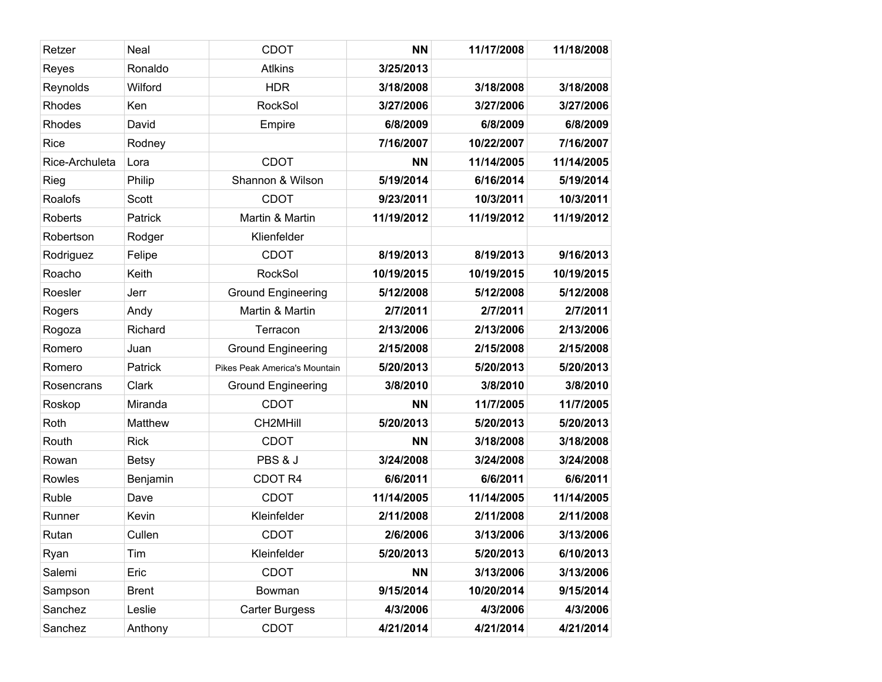| Retzer         | Neal         | <b>CDOT</b>                   | <b>NN</b>  | 11/17/2008 | 11/18/2008 |
|----------------|--------------|-------------------------------|------------|------------|------------|
| Reyes          | Ronaldo      | <b>Atlkins</b>                | 3/25/2013  |            |            |
| Reynolds       | Wilford      | <b>HDR</b>                    | 3/18/2008  | 3/18/2008  | 3/18/2008  |
| Rhodes         | Ken          | <b>RockSol</b>                | 3/27/2006  | 3/27/2006  | 3/27/2006  |
| Rhodes         | David        | Empire                        | 6/8/2009   | 6/8/2009   | 6/8/2009   |
| Rice           | Rodney       |                               | 7/16/2007  | 10/22/2007 | 7/16/2007  |
| Rice-Archuleta | Lora         | <b>CDOT</b>                   | <b>NN</b>  | 11/14/2005 | 11/14/2005 |
| Rieg           | Philip       | Shannon & Wilson              | 5/19/2014  | 6/16/2014  | 5/19/2014  |
| Roalofs        | Scott        | <b>CDOT</b>                   | 9/23/2011  | 10/3/2011  | 10/3/2011  |
| Roberts        | Patrick      | Martin & Martin               | 11/19/2012 | 11/19/2012 | 11/19/2012 |
| Robertson      | Rodger       | Klienfelder                   |            |            |            |
| Rodriguez      | Felipe       | <b>CDOT</b>                   | 8/19/2013  | 8/19/2013  | 9/16/2013  |
| Roacho         | Keith        | <b>RockSol</b>                | 10/19/2015 | 10/19/2015 | 10/19/2015 |
| Roesler        | Jerr         | <b>Ground Engineering</b>     | 5/12/2008  | 5/12/2008  | 5/12/2008  |
| Rogers         | Andy         | Martin & Martin               | 2/7/2011   | 2/7/2011   | 2/7/2011   |
| Rogoza         | Richard      | Terracon                      | 2/13/2006  | 2/13/2006  | 2/13/2006  |
| Romero         | Juan         | <b>Ground Engineering</b>     | 2/15/2008  | 2/15/2008  | 2/15/2008  |
| Romero         | Patrick      | Pikes Peak America's Mountain | 5/20/2013  | 5/20/2013  | 5/20/2013  |
| Rosencrans     | Clark        | <b>Ground Engineering</b>     | 3/8/2010   | 3/8/2010   | 3/8/2010   |
| Roskop         | Miranda      | <b>CDOT</b>                   | <b>NN</b>  | 11/7/2005  | 11/7/2005  |
| Roth           | Matthew      | CH2MHill                      | 5/20/2013  | 5/20/2013  | 5/20/2013  |
| Routh          | <b>Rick</b>  | <b>CDOT</b>                   | <b>NN</b>  | 3/18/2008  | 3/18/2008  |
| Rowan          | <b>Betsy</b> | PBS & J                       | 3/24/2008  | 3/24/2008  | 3/24/2008  |
| Rowles         | Benjamin     | CDOT <sub>R4</sub>            | 6/6/2011   | 6/6/2011   | 6/6/2011   |
| Ruble          | Dave         | <b>CDOT</b>                   | 11/14/2005 | 11/14/2005 | 11/14/2005 |
| Runner         | Kevin        | Kleinfelder                   | 2/11/2008  | 2/11/2008  | 2/11/2008  |
| Rutan          | Cullen       | <b>CDOT</b>                   | 2/6/2006   | 3/13/2006  | 3/13/2006  |
| Ryan           | Tim          | Kleinfelder                   | 5/20/2013  | 5/20/2013  | 6/10/2013  |
| Salemi         | Eric         | <b>CDOT</b>                   | <b>NN</b>  | 3/13/2006  | 3/13/2006  |
| Sampson        | <b>Brent</b> | Bowman                        | 9/15/2014  | 10/20/2014 | 9/15/2014  |
| Sanchez        | Leslie       | <b>Carter Burgess</b>         | 4/3/2006   | 4/3/2006   | 4/3/2006   |
| Sanchez        | Anthony      | CDOT                          | 4/21/2014  | 4/21/2014  | 4/21/2014  |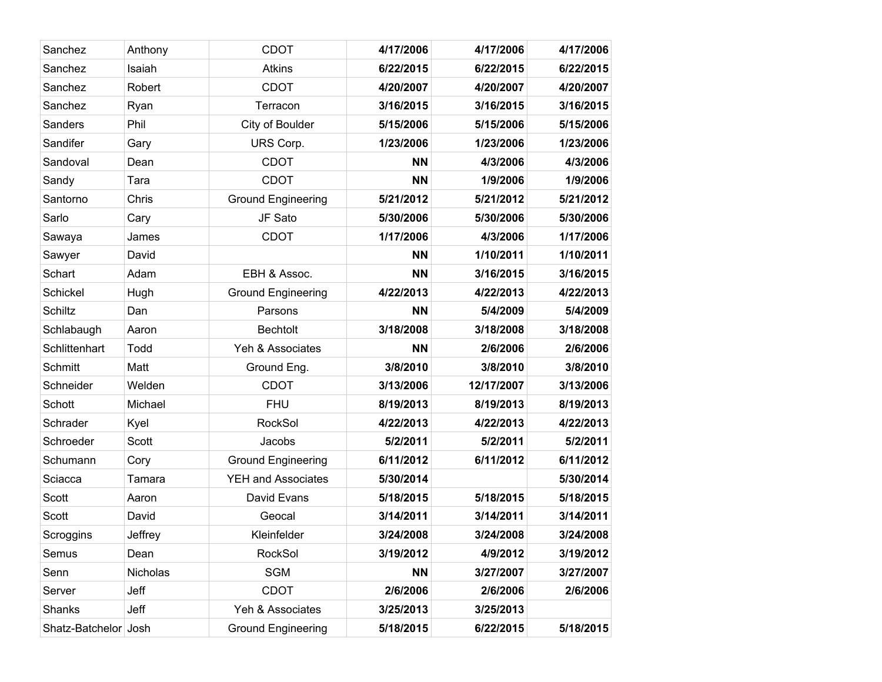| Sanchez              | Anthony  | <b>CDOT</b>               | 4/17/2006 | 4/17/2006  | 4/17/2006 |
|----------------------|----------|---------------------------|-----------|------------|-----------|
| Sanchez              | Isaiah   | <b>Atkins</b>             | 6/22/2015 | 6/22/2015  | 6/22/2015 |
| Sanchez              | Robert   | <b>CDOT</b>               | 4/20/2007 | 4/20/2007  | 4/20/2007 |
| Sanchez              | Ryan     | Terracon                  | 3/16/2015 | 3/16/2015  | 3/16/2015 |
| Sanders              | Phil     | City of Boulder           | 5/15/2006 | 5/15/2006  | 5/15/2006 |
| Sandifer             | Gary     | URS Corp.                 | 1/23/2006 | 1/23/2006  | 1/23/2006 |
| Sandoval             | Dean     | <b>CDOT</b>               | <b>NN</b> | 4/3/2006   | 4/3/2006  |
| Sandy                | Tara     | <b>CDOT</b>               | <b>NN</b> | 1/9/2006   | 1/9/2006  |
| Santorno             | Chris    | <b>Ground Engineering</b> | 5/21/2012 | 5/21/2012  | 5/21/2012 |
| Sarlo                | Cary     | JF Sato                   | 5/30/2006 | 5/30/2006  | 5/30/2006 |
| Sawaya               | James    | <b>CDOT</b>               | 1/17/2006 | 4/3/2006   | 1/17/2006 |
| Sawyer               | David    |                           | <b>NN</b> | 1/10/2011  | 1/10/2011 |
| Schart               | Adam     | EBH & Assoc.              | <b>NN</b> | 3/16/2015  | 3/16/2015 |
| Schickel             | Hugh     | <b>Ground Engineering</b> | 4/22/2013 | 4/22/2013  | 4/22/2013 |
| Schiltz              | Dan      | Parsons                   | <b>NN</b> | 5/4/2009   | 5/4/2009  |
| Schlabaugh           | Aaron    | <b>Bechtolt</b>           | 3/18/2008 | 3/18/2008  | 3/18/2008 |
| Schlittenhart        | Todd     | Yeh & Associates          | <b>NN</b> | 2/6/2006   | 2/6/2006  |
| <b>Schmitt</b>       | Matt     | Ground Eng.               | 3/8/2010  | 3/8/2010   | 3/8/2010  |
| Schneider            | Welden   | <b>CDOT</b>               | 3/13/2006 | 12/17/2007 | 3/13/2006 |
| Schott               | Michael  | <b>FHU</b>                | 8/19/2013 | 8/19/2013  | 8/19/2013 |
| Schrader             | Kyel     | <b>RockSol</b>            | 4/22/2013 | 4/22/2013  | 4/22/2013 |
| Schroeder            | Scott    | Jacobs                    | 5/2/2011  | 5/2/2011   | 5/2/2011  |
| Schumann             | Cory     | <b>Ground Engineering</b> | 6/11/2012 | 6/11/2012  | 6/11/2012 |
| Sciacca              | Tamara   | <b>YEH and Associates</b> | 5/30/2014 |            | 5/30/2014 |
| Scott                | Aaron    | David Evans               | 5/18/2015 | 5/18/2015  | 5/18/2015 |
| Scott                | David    | Geocal                    | 3/14/2011 | 3/14/2011  | 3/14/2011 |
| Scroggins            | Jeffrey  | Kleinfelder               | 3/24/2008 | 3/24/2008  | 3/24/2008 |
| Semus                | Dean     | RockSol                   | 3/19/2012 | 4/9/2012   | 3/19/2012 |
| Senn                 | Nicholas | <b>SGM</b>                | <b>NN</b> | 3/27/2007  | 3/27/2007 |
| Server               | Jeff     | <b>CDOT</b>               | 2/6/2006  | 2/6/2006   | 2/6/2006  |
| Shanks               | Jeff     | Yeh & Associates          | 3/25/2013 | 3/25/2013  |           |
| Shatz-Batchelor Josh |          | <b>Ground Engineering</b> | 5/18/2015 | 6/22/2015  | 5/18/2015 |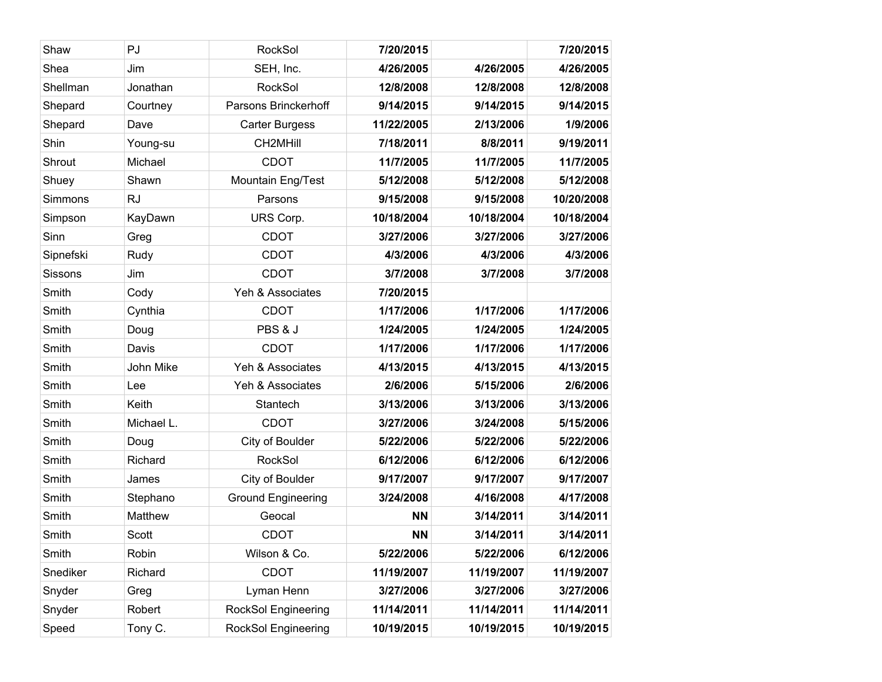| Shaw      | PJ         | <b>RockSol</b>             | 7/20/2015  |            | 7/20/2015  |
|-----------|------------|----------------------------|------------|------------|------------|
| Shea      | Jim        | SEH, Inc.                  | 4/26/2005  | 4/26/2005  | 4/26/2005  |
| Shellman  | Jonathan   | RockSol                    | 12/8/2008  | 12/8/2008  | 12/8/2008  |
| Shepard   | Courtney   | Parsons Brinckerhoff       | 9/14/2015  | 9/14/2015  | 9/14/2015  |
| Shepard   | Dave       | <b>Carter Burgess</b>      | 11/22/2005 | 2/13/2006  | 1/9/2006   |
| Shin      | Young-su   | CH2MHill                   | 7/18/2011  | 8/8/2011   | 9/19/2011  |
| Shrout    | Michael    | <b>CDOT</b>                | 11/7/2005  | 11/7/2005  | 11/7/2005  |
| Shuey     | Shawn      | Mountain Eng/Test          | 5/12/2008  | 5/12/2008  | 5/12/2008  |
| Simmons   | <b>RJ</b>  | Parsons                    | 9/15/2008  | 9/15/2008  | 10/20/2008 |
| Simpson   | KayDawn    | URS Corp.                  | 10/18/2004 | 10/18/2004 | 10/18/2004 |
| Sinn      | Greg       | <b>CDOT</b>                | 3/27/2006  | 3/27/2006  | 3/27/2006  |
| Sipnefski | Rudy       | <b>CDOT</b>                | 4/3/2006   | 4/3/2006   | 4/3/2006   |
| Sissons   | Jim        | <b>CDOT</b>                | 3/7/2008   | 3/7/2008   | 3/7/2008   |
| Smith     | Cody       | Yeh & Associates           | 7/20/2015  |            |            |
| Smith     | Cynthia    | <b>CDOT</b>                | 1/17/2006  | 1/17/2006  | 1/17/2006  |
| Smith     | Doug       | PBS & J                    | 1/24/2005  | 1/24/2005  | 1/24/2005  |
| Smith     | Davis      | <b>CDOT</b>                | 1/17/2006  | 1/17/2006  | 1/17/2006  |
| Smith     | John Mike  | Yeh & Associates           | 4/13/2015  | 4/13/2015  | 4/13/2015  |
| Smith     | Lee        | Yeh & Associates           | 2/6/2006   | 5/15/2006  | 2/6/2006   |
| Smith     | Keith      | Stantech                   | 3/13/2006  | 3/13/2006  | 3/13/2006  |
| Smith     | Michael L. | <b>CDOT</b>                | 3/27/2006  | 3/24/2008  | 5/15/2006  |
| Smith     | Doug       | City of Boulder            | 5/22/2006  | 5/22/2006  | 5/22/2006  |
| Smith     | Richard    | <b>RockSol</b>             | 6/12/2006  | 6/12/2006  | 6/12/2006  |
| Smith     | James      | City of Boulder            | 9/17/2007  | 9/17/2007  | 9/17/2007  |
| Smith     | Stephano   | <b>Ground Engineering</b>  | 3/24/2008  | 4/16/2008  | 4/17/2008  |
| Smith     | Matthew    | Geocal                     | <b>NN</b>  | 3/14/2011  | 3/14/2011  |
| Smith     | Scott      | <b>CDOT</b>                | <b>NN</b>  | 3/14/2011  | 3/14/2011  |
| Smith     | Robin      | Wilson & Co.               | 5/22/2006  | 5/22/2006  | 6/12/2006  |
| Snediker  | Richard    | <b>CDOT</b>                | 11/19/2007 | 11/19/2007 | 11/19/2007 |
| Snyder    | Greg       | Lyman Henn                 | 3/27/2006  | 3/27/2006  | 3/27/2006  |
| Snyder    | Robert     | <b>RockSol Engineering</b> | 11/14/2011 | 11/14/2011 | 11/14/2011 |
| Speed     | Tony C.    | RockSol Engineering        | 10/19/2015 | 10/19/2015 | 10/19/2015 |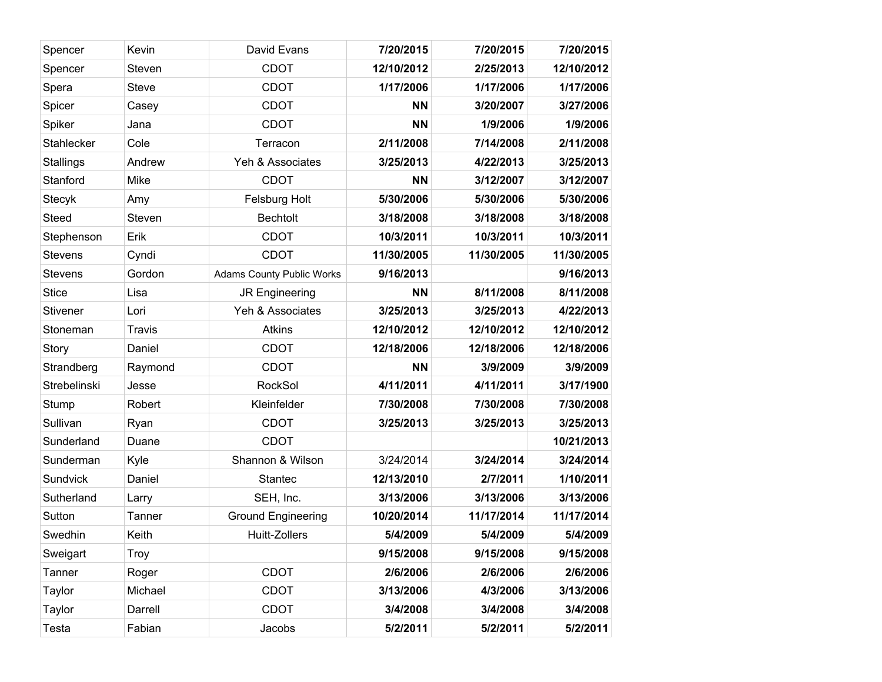| Spencer         | Kevin         | David Evans                      | 7/20/2015  | 7/20/2015  | 7/20/2015  |
|-----------------|---------------|----------------------------------|------------|------------|------------|
| Spencer         | Steven        | <b>CDOT</b>                      | 12/10/2012 | 2/25/2013  | 12/10/2012 |
| Spera           | <b>Steve</b>  | <b>CDOT</b>                      | 1/17/2006  | 1/17/2006  | 1/17/2006  |
| Spicer          | Casey         | <b>CDOT</b>                      | <b>NN</b>  | 3/20/2007  | 3/27/2006  |
| Spiker          | Jana          | <b>CDOT</b>                      | <b>NN</b>  | 1/9/2006   | 1/9/2006   |
| Stahlecker      | Cole          | Terracon                         | 2/11/2008  | 7/14/2008  | 2/11/2008  |
| Stallings       | Andrew        | Yeh & Associates                 | 3/25/2013  | 4/22/2013  | 3/25/2013  |
| Stanford        | Mike          | <b>CDOT</b>                      | <b>NN</b>  | 3/12/2007  | 3/12/2007  |
| <b>Stecyk</b>   | Amy           | Felsburg Holt                    | 5/30/2006  | 5/30/2006  | 5/30/2006  |
| <b>Steed</b>    | Steven        | <b>Bechtolt</b>                  | 3/18/2008  | 3/18/2008  | 3/18/2008  |
| Stephenson      | Erik          | <b>CDOT</b>                      | 10/3/2011  | 10/3/2011  | 10/3/2011  |
| <b>Stevens</b>  | Cyndi         | <b>CDOT</b>                      | 11/30/2005 | 11/30/2005 | 11/30/2005 |
| <b>Stevens</b>  | Gordon        | <b>Adams County Public Works</b> | 9/16/2013  |            | 9/16/2013  |
| <b>Stice</b>    | Lisa          | JR Engineering                   | <b>NN</b>  | 8/11/2008  | 8/11/2008  |
| <b>Stivener</b> | Lori          | Yeh & Associates                 | 3/25/2013  | 3/25/2013  | 4/22/2013  |
| Stoneman        | <b>Travis</b> | <b>Atkins</b>                    | 12/10/2012 | 12/10/2012 | 12/10/2012 |
| Story           | Daniel        | <b>CDOT</b>                      | 12/18/2006 | 12/18/2006 | 12/18/2006 |
| Strandberg      | Raymond       | <b>CDOT</b>                      | <b>NN</b>  | 3/9/2009   | 3/9/2009   |
| Strebelinski    | Jesse         | RockSol                          | 4/11/2011  | 4/11/2011  | 3/17/1900  |
| Stump           | Robert        | Kleinfelder                      | 7/30/2008  | 7/30/2008  | 7/30/2008  |
| Sullivan        | Ryan          | <b>CDOT</b>                      | 3/25/2013  | 3/25/2013  | 3/25/2013  |
| Sunderland      | Duane         | <b>CDOT</b>                      |            |            | 10/21/2013 |
| Sunderman       | Kyle          | Shannon & Wilson                 | 3/24/2014  | 3/24/2014  | 3/24/2014  |
| Sundvick        | Daniel        | <b>Stantec</b>                   | 12/13/2010 | 2/7/2011   | 1/10/2011  |
| Sutherland      | Larry         | SEH, Inc.                        | 3/13/2006  | 3/13/2006  | 3/13/2006  |
| Sutton          | Tanner        | <b>Ground Engineering</b>        | 10/20/2014 | 11/17/2014 | 11/17/2014 |
| Swedhin         | Keith         | Huitt-Zollers                    | 5/4/2009   | 5/4/2009   | 5/4/2009   |
| Sweigart        | <b>Troy</b>   |                                  | 9/15/2008  | 9/15/2008  | 9/15/2008  |
| Tanner          | Roger         | <b>CDOT</b>                      | 2/6/2006   | 2/6/2006   | 2/6/2006   |
| Taylor          | Michael       | CDOT                             | 3/13/2006  | 4/3/2006   | 3/13/2006  |
| Taylor          | Darrell       | <b>CDOT</b>                      | 3/4/2008   | 3/4/2008   | 3/4/2008   |
| Testa           | Fabian        | Jacobs                           | 5/2/2011   | 5/2/2011   | 5/2/2011   |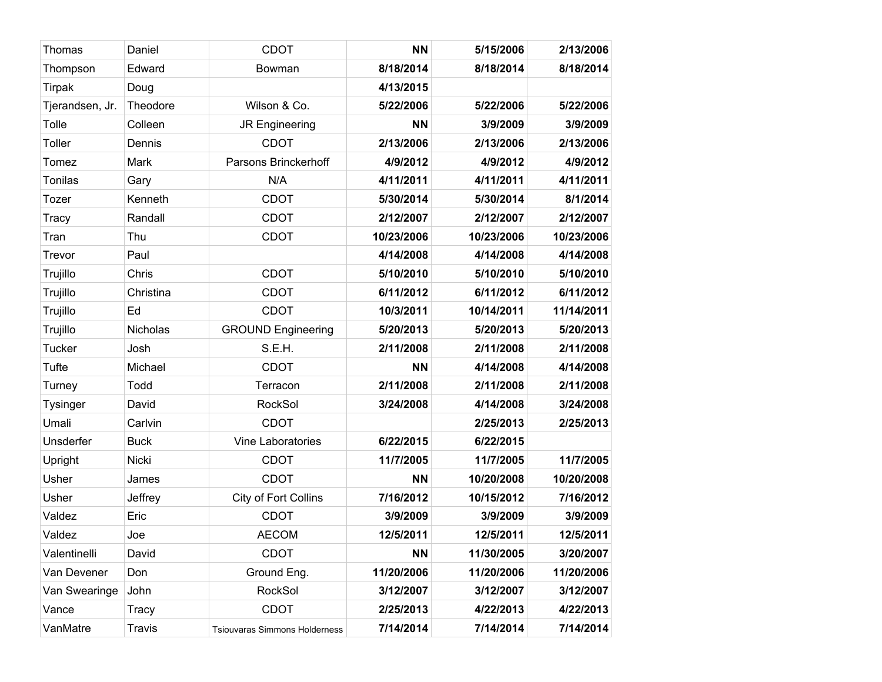| Thomas          | Daniel        | <b>CDOT</b>                          | <b>NN</b>  | 5/15/2006  | 2/13/2006  |
|-----------------|---------------|--------------------------------------|------------|------------|------------|
| Thompson        | Edward        | Bowman                               | 8/18/2014  | 8/18/2014  | 8/18/2014  |
| Tirpak          | Doug          |                                      | 4/13/2015  |            |            |
| Tjerandsen, Jr. | Theodore      | Wilson & Co.                         | 5/22/2006  | 5/22/2006  | 5/22/2006  |
| Tolle           | Colleen       | JR Engineering                       | <b>NN</b>  | 3/9/2009   | 3/9/2009   |
| Toller          | Dennis        | <b>CDOT</b>                          | 2/13/2006  | 2/13/2006  | 2/13/2006  |
| Tomez           | Mark          | Parsons Brinckerhoff                 | 4/9/2012   | 4/9/2012   | 4/9/2012   |
| Tonilas         | Gary          | N/A                                  | 4/11/2011  | 4/11/2011  | 4/11/2011  |
| Tozer           | Kenneth       | <b>CDOT</b>                          | 5/30/2014  | 5/30/2014  | 8/1/2014   |
| Tracy           | Randall       | <b>CDOT</b>                          | 2/12/2007  | 2/12/2007  | 2/12/2007  |
| Tran            | Thu           | <b>CDOT</b>                          | 10/23/2006 | 10/23/2006 | 10/23/2006 |
| Trevor          | Paul          |                                      | 4/14/2008  | 4/14/2008  | 4/14/2008  |
| Trujillo        | Chris         | <b>CDOT</b>                          | 5/10/2010  | 5/10/2010  | 5/10/2010  |
| Trujillo        | Christina     | <b>CDOT</b>                          | 6/11/2012  | 6/11/2012  | 6/11/2012  |
| Trujillo        | Ed            | <b>CDOT</b>                          | 10/3/2011  | 10/14/2011 | 11/14/2011 |
| Trujillo        | Nicholas      | <b>GROUND Engineering</b>            | 5/20/2013  | 5/20/2013  | 5/20/2013  |
| <b>Tucker</b>   | Josh          | S.E.H.                               | 2/11/2008  | 2/11/2008  | 2/11/2008  |
| <b>Tufte</b>    | Michael       | <b>CDOT</b>                          | <b>NN</b>  | 4/14/2008  | 4/14/2008  |
| Turney          | Todd          | Terracon                             | 2/11/2008  | 2/11/2008  | 2/11/2008  |
| <b>Tysinger</b> | David         | <b>RockSol</b>                       | 3/24/2008  | 4/14/2008  | 3/24/2008  |
| Umali           | Carlvin       | <b>CDOT</b>                          |            | 2/25/2013  | 2/25/2013  |
| Unsderfer       | <b>Buck</b>   | Vine Laboratories                    | 6/22/2015  | 6/22/2015  |            |
| Upright         | Nicki         | <b>CDOT</b>                          | 11/7/2005  | 11/7/2005  | 11/7/2005  |
| Usher           | James         | <b>CDOT</b>                          | <b>NN</b>  | 10/20/2008 | 10/20/2008 |
| Usher           | Jeffrey       | City of Fort Collins                 | 7/16/2012  | 10/15/2012 | 7/16/2012  |
| Valdez          | Eric          | <b>CDOT</b>                          | 3/9/2009   | 3/9/2009   | 3/9/2009   |
| Valdez          | Joe           | <b>AECOM</b>                         | 12/5/2011  | 12/5/2011  | 12/5/2011  |
| Valentinelli    | David         | <b>CDOT</b>                          | <b>NN</b>  | 11/30/2005 | 3/20/2007  |
| Van Devener     | Don           | Ground Eng.                          | 11/20/2006 | 11/20/2006 | 11/20/2006 |
| Van Swearinge   | John          | <b>RockSol</b>                       | 3/12/2007  | 3/12/2007  | 3/12/2007  |
| Vance           | Tracy         | <b>CDOT</b>                          | 2/25/2013  | 4/22/2013  | 4/22/2013  |
| VanMatre        | <b>Travis</b> | <b>Tsiouvaras Simmons Holderness</b> | 7/14/2014  | 7/14/2014  | 7/14/2014  |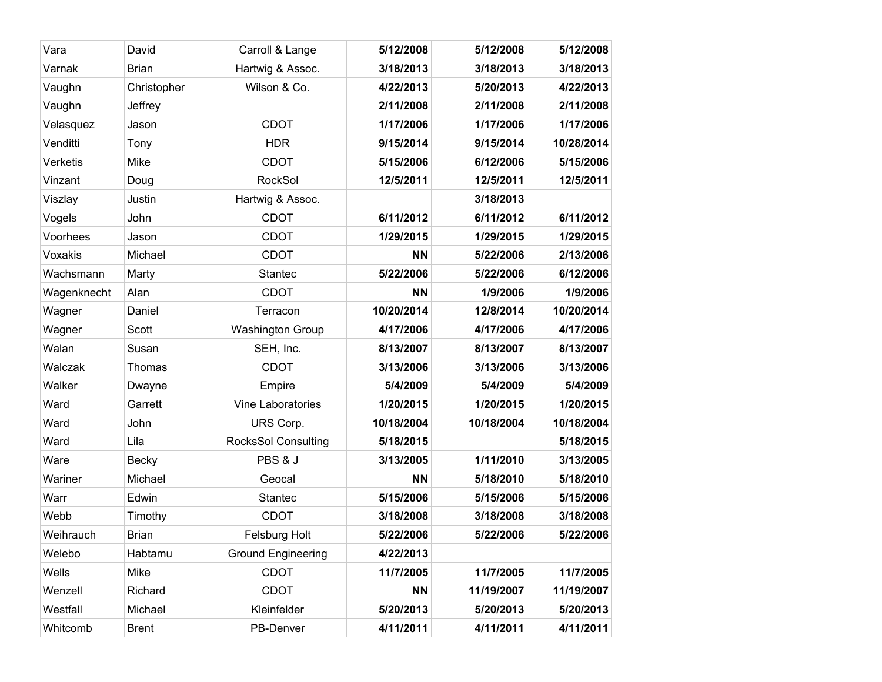| Vara<br>David<br>Carroll & Lange<br>5/12/2008<br>5/12/2008<br><b>Brian</b><br>Hartwig & Assoc.<br>3/18/2013<br>3/18/2013<br>Varnak<br>Christopher<br>Wilson & Co.<br>Vaughn<br>4/22/2013<br>5/20/2013<br>2/11/2008<br>2/11/2008<br>Vaughn<br>Jeffrey<br><b>CDOT</b><br>1/17/2006<br>1/17/2006<br>Jason<br>Velasquez<br><b>HDR</b><br>9/15/2014<br>Venditti<br>9/15/2014<br>Tony<br>Verketis<br>Mike<br><b>CDOT</b><br>5/15/2006<br>6/12/2006<br>RockSol<br>12/5/2011<br>12/5/2011<br>Vinzant<br>Doug<br>Hartwig & Assoc.<br>3/18/2013<br>Viszlay<br>Justin<br><b>CDOT</b><br>6/11/2012<br>6/11/2012<br>Vogels<br>John<br><b>CDOT</b><br>Voorhees<br>1/29/2015<br>1/29/2015<br>Jason<br>Voxakis<br><b>CDOT</b><br><b>NN</b><br>5/22/2006<br>Michael<br>5/22/2006<br>Wachsmann<br>Marty<br><b>Stantec</b><br>5/22/2006<br>Alan<br><b>CDOT</b><br>1/9/2006<br>Wagenknecht<br><b>NN</b><br>Terracon<br>10/20/2014<br>12/8/2014<br>Wagner<br>Daniel<br><b>Washington Group</b><br>4/17/2006<br>4/17/2006<br>Wagner<br>Scott<br>Walan<br>8/13/2007<br>8/13/2007<br>Susan<br>SEH, Inc.<br><b>CDOT</b><br>3/13/2006<br>3/13/2006<br>Walczak<br>Thomas<br>Walker<br>5/4/2009<br>5/4/2009<br>Empire<br>Dwayne<br>1/20/2015<br>Ward<br>Vine Laboratories<br>1/20/2015<br>Garrett<br>Ward<br>John<br>URS Corp.<br>10/18/2004<br>10/18/2004<br>Ward<br><b>RocksSol Consulting</b><br>5/18/2015<br>Lila<br>PBS & J<br>Ware<br>3/13/2005<br>1/11/2010<br>Becky<br>Wariner<br>Michael<br>5/18/2010<br>Geocal<br><b>NN</b><br>Warr<br>Edwin<br>5/15/2006<br>5/15/2006<br><b>Stantec</b><br>Webb<br><b>CDOT</b><br>3/18/2008<br>3/18/2008<br>Timothy<br><b>Brian</b><br>Felsburg Holt<br>5/22/2006<br>5/22/2006<br>Weihrauch<br>Welebo<br><b>Ground Engineering</b><br>4/22/2013<br>Habtamu<br>Wells<br>Mike<br><b>CDOT</b><br>11/7/2005<br>11/7/2005<br><b>CDOT</b><br>11/19/2007<br>Wenzell<br>Richard<br><b>NN</b><br>Westfall<br>Kleinfelder<br>5/20/2013<br>5/20/2013<br>Michael<br>4/11/2011<br>Whitcomb<br><b>Brent</b><br>PB-Denver<br>4/11/2011 |  |  |            |
|----------------------------------------------------------------------------------------------------------------------------------------------------------------------------------------------------------------------------------------------------------------------------------------------------------------------------------------------------------------------------------------------------------------------------------------------------------------------------------------------------------------------------------------------------------------------------------------------------------------------------------------------------------------------------------------------------------------------------------------------------------------------------------------------------------------------------------------------------------------------------------------------------------------------------------------------------------------------------------------------------------------------------------------------------------------------------------------------------------------------------------------------------------------------------------------------------------------------------------------------------------------------------------------------------------------------------------------------------------------------------------------------------------------------------------------------------------------------------------------------------------------------------------------------------------------------------------------------------------------------------------------------------------------------------------------------------------------------------------------------------------------------------------------------------------------------------------------------------------------------------------------------------------------------------------------------------------------------------------------------------------------------------------------|--|--|------------|
|                                                                                                                                                                                                                                                                                                                                                                                                                                                                                                                                                                                                                                                                                                                                                                                                                                                                                                                                                                                                                                                                                                                                                                                                                                                                                                                                                                                                                                                                                                                                                                                                                                                                                                                                                                                                                                                                                                                                                                                                                                        |  |  | 5/12/2008  |
|                                                                                                                                                                                                                                                                                                                                                                                                                                                                                                                                                                                                                                                                                                                                                                                                                                                                                                                                                                                                                                                                                                                                                                                                                                                                                                                                                                                                                                                                                                                                                                                                                                                                                                                                                                                                                                                                                                                                                                                                                                        |  |  | 3/18/2013  |
|                                                                                                                                                                                                                                                                                                                                                                                                                                                                                                                                                                                                                                                                                                                                                                                                                                                                                                                                                                                                                                                                                                                                                                                                                                                                                                                                                                                                                                                                                                                                                                                                                                                                                                                                                                                                                                                                                                                                                                                                                                        |  |  | 4/22/2013  |
|                                                                                                                                                                                                                                                                                                                                                                                                                                                                                                                                                                                                                                                                                                                                                                                                                                                                                                                                                                                                                                                                                                                                                                                                                                                                                                                                                                                                                                                                                                                                                                                                                                                                                                                                                                                                                                                                                                                                                                                                                                        |  |  | 2/11/2008  |
|                                                                                                                                                                                                                                                                                                                                                                                                                                                                                                                                                                                                                                                                                                                                                                                                                                                                                                                                                                                                                                                                                                                                                                                                                                                                                                                                                                                                                                                                                                                                                                                                                                                                                                                                                                                                                                                                                                                                                                                                                                        |  |  | 1/17/2006  |
|                                                                                                                                                                                                                                                                                                                                                                                                                                                                                                                                                                                                                                                                                                                                                                                                                                                                                                                                                                                                                                                                                                                                                                                                                                                                                                                                                                                                                                                                                                                                                                                                                                                                                                                                                                                                                                                                                                                                                                                                                                        |  |  | 10/28/2014 |
|                                                                                                                                                                                                                                                                                                                                                                                                                                                                                                                                                                                                                                                                                                                                                                                                                                                                                                                                                                                                                                                                                                                                                                                                                                                                                                                                                                                                                                                                                                                                                                                                                                                                                                                                                                                                                                                                                                                                                                                                                                        |  |  | 5/15/2006  |
|                                                                                                                                                                                                                                                                                                                                                                                                                                                                                                                                                                                                                                                                                                                                                                                                                                                                                                                                                                                                                                                                                                                                                                                                                                                                                                                                                                                                                                                                                                                                                                                                                                                                                                                                                                                                                                                                                                                                                                                                                                        |  |  | 12/5/2011  |
|                                                                                                                                                                                                                                                                                                                                                                                                                                                                                                                                                                                                                                                                                                                                                                                                                                                                                                                                                                                                                                                                                                                                                                                                                                                                                                                                                                                                                                                                                                                                                                                                                                                                                                                                                                                                                                                                                                                                                                                                                                        |  |  |            |
|                                                                                                                                                                                                                                                                                                                                                                                                                                                                                                                                                                                                                                                                                                                                                                                                                                                                                                                                                                                                                                                                                                                                                                                                                                                                                                                                                                                                                                                                                                                                                                                                                                                                                                                                                                                                                                                                                                                                                                                                                                        |  |  | 6/11/2012  |
|                                                                                                                                                                                                                                                                                                                                                                                                                                                                                                                                                                                                                                                                                                                                                                                                                                                                                                                                                                                                                                                                                                                                                                                                                                                                                                                                                                                                                                                                                                                                                                                                                                                                                                                                                                                                                                                                                                                                                                                                                                        |  |  | 1/29/2015  |
|                                                                                                                                                                                                                                                                                                                                                                                                                                                                                                                                                                                                                                                                                                                                                                                                                                                                                                                                                                                                                                                                                                                                                                                                                                                                                                                                                                                                                                                                                                                                                                                                                                                                                                                                                                                                                                                                                                                                                                                                                                        |  |  | 2/13/2006  |
|                                                                                                                                                                                                                                                                                                                                                                                                                                                                                                                                                                                                                                                                                                                                                                                                                                                                                                                                                                                                                                                                                                                                                                                                                                                                                                                                                                                                                                                                                                                                                                                                                                                                                                                                                                                                                                                                                                                                                                                                                                        |  |  | 6/12/2006  |
|                                                                                                                                                                                                                                                                                                                                                                                                                                                                                                                                                                                                                                                                                                                                                                                                                                                                                                                                                                                                                                                                                                                                                                                                                                                                                                                                                                                                                                                                                                                                                                                                                                                                                                                                                                                                                                                                                                                                                                                                                                        |  |  | 1/9/2006   |
|                                                                                                                                                                                                                                                                                                                                                                                                                                                                                                                                                                                                                                                                                                                                                                                                                                                                                                                                                                                                                                                                                                                                                                                                                                                                                                                                                                                                                                                                                                                                                                                                                                                                                                                                                                                                                                                                                                                                                                                                                                        |  |  | 10/20/2014 |
|                                                                                                                                                                                                                                                                                                                                                                                                                                                                                                                                                                                                                                                                                                                                                                                                                                                                                                                                                                                                                                                                                                                                                                                                                                                                                                                                                                                                                                                                                                                                                                                                                                                                                                                                                                                                                                                                                                                                                                                                                                        |  |  | 4/17/2006  |
|                                                                                                                                                                                                                                                                                                                                                                                                                                                                                                                                                                                                                                                                                                                                                                                                                                                                                                                                                                                                                                                                                                                                                                                                                                                                                                                                                                                                                                                                                                                                                                                                                                                                                                                                                                                                                                                                                                                                                                                                                                        |  |  | 8/13/2007  |
|                                                                                                                                                                                                                                                                                                                                                                                                                                                                                                                                                                                                                                                                                                                                                                                                                                                                                                                                                                                                                                                                                                                                                                                                                                                                                                                                                                                                                                                                                                                                                                                                                                                                                                                                                                                                                                                                                                                                                                                                                                        |  |  | 3/13/2006  |
|                                                                                                                                                                                                                                                                                                                                                                                                                                                                                                                                                                                                                                                                                                                                                                                                                                                                                                                                                                                                                                                                                                                                                                                                                                                                                                                                                                                                                                                                                                                                                                                                                                                                                                                                                                                                                                                                                                                                                                                                                                        |  |  | 5/4/2009   |
|                                                                                                                                                                                                                                                                                                                                                                                                                                                                                                                                                                                                                                                                                                                                                                                                                                                                                                                                                                                                                                                                                                                                                                                                                                                                                                                                                                                                                                                                                                                                                                                                                                                                                                                                                                                                                                                                                                                                                                                                                                        |  |  | 1/20/2015  |
|                                                                                                                                                                                                                                                                                                                                                                                                                                                                                                                                                                                                                                                                                                                                                                                                                                                                                                                                                                                                                                                                                                                                                                                                                                                                                                                                                                                                                                                                                                                                                                                                                                                                                                                                                                                                                                                                                                                                                                                                                                        |  |  | 10/18/2004 |
|                                                                                                                                                                                                                                                                                                                                                                                                                                                                                                                                                                                                                                                                                                                                                                                                                                                                                                                                                                                                                                                                                                                                                                                                                                                                                                                                                                                                                                                                                                                                                                                                                                                                                                                                                                                                                                                                                                                                                                                                                                        |  |  | 5/18/2015  |
|                                                                                                                                                                                                                                                                                                                                                                                                                                                                                                                                                                                                                                                                                                                                                                                                                                                                                                                                                                                                                                                                                                                                                                                                                                                                                                                                                                                                                                                                                                                                                                                                                                                                                                                                                                                                                                                                                                                                                                                                                                        |  |  | 3/13/2005  |
|                                                                                                                                                                                                                                                                                                                                                                                                                                                                                                                                                                                                                                                                                                                                                                                                                                                                                                                                                                                                                                                                                                                                                                                                                                                                                                                                                                                                                                                                                                                                                                                                                                                                                                                                                                                                                                                                                                                                                                                                                                        |  |  | 5/18/2010  |
|                                                                                                                                                                                                                                                                                                                                                                                                                                                                                                                                                                                                                                                                                                                                                                                                                                                                                                                                                                                                                                                                                                                                                                                                                                                                                                                                                                                                                                                                                                                                                                                                                                                                                                                                                                                                                                                                                                                                                                                                                                        |  |  | 5/15/2006  |
|                                                                                                                                                                                                                                                                                                                                                                                                                                                                                                                                                                                                                                                                                                                                                                                                                                                                                                                                                                                                                                                                                                                                                                                                                                                                                                                                                                                                                                                                                                                                                                                                                                                                                                                                                                                                                                                                                                                                                                                                                                        |  |  | 3/18/2008  |
|                                                                                                                                                                                                                                                                                                                                                                                                                                                                                                                                                                                                                                                                                                                                                                                                                                                                                                                                                                                                                                                                                                                                                                                                                                                                                                                                                                                                                                                                                                                                                                                                                                                                                                                                                                                                                                                                                                                                                                                                                                        |  |  | 5/22/2006  |
|                                                                                                                                                                                                                                                                                                                                                                                                                                                                                                                                                                                                                                                                                                                                                                                                                                                                                                                                                                                                                                                                                                                                                                                                                                                                                                                                                                                                                                                                                                                                                                                                                                                                                                                                                                                                                                                                                                                                                                                                                                        |  |  |            |
|                                                                                                                                                                                                                                                                                                                                                                                                                                                                                                                                                                                                                                                                                                                                                                                                                                                                                                                                                                                                                                                                                                                                                                                                                                                                                                                                                                                                                                                                                                                                                                                                                                                                                                                                                                                                                                                                                                                                                                                                                                        |  |  | 11/7/2005  |
|                                                                                                                                                                                                                                                                                                                                                                                                                                                                                                                                                                                                                                                                                                                                                                                                                                                                                                                                                                                                                                                                                                                                                                                                                                                                                                                                                                                                                                                                                                                                                                                                                                                                                                                                                                                                                                                                                                                                                                                                                                        |  |  | 11/19/2007 |
|                                                                                                                                                                                                                                                                                                                                                                                                                                                                                                                                                                                                                                                                                                                                                                                                                                                                                                                                                                                                                                                                                                                                                                                                                                                                                                                                                                                                                                                                                                                                                                                                                                                                                                                                                                                                                                                                                                                                                                                                                                        |  |  | 5/20/2013  |
|                                                                                                                                                                                                                                                                                                                                                                                                                                                                                                                                                                                                                                                                                                                                                                                                                                                                                                                                                                                                                                                                                                                                                                                                                                                                                                                                                                                                                                                                                                                                                                                                                                                                                                                                                                                                                                                                                                                                                                                                                                        |  |  | 4/11/2011  |